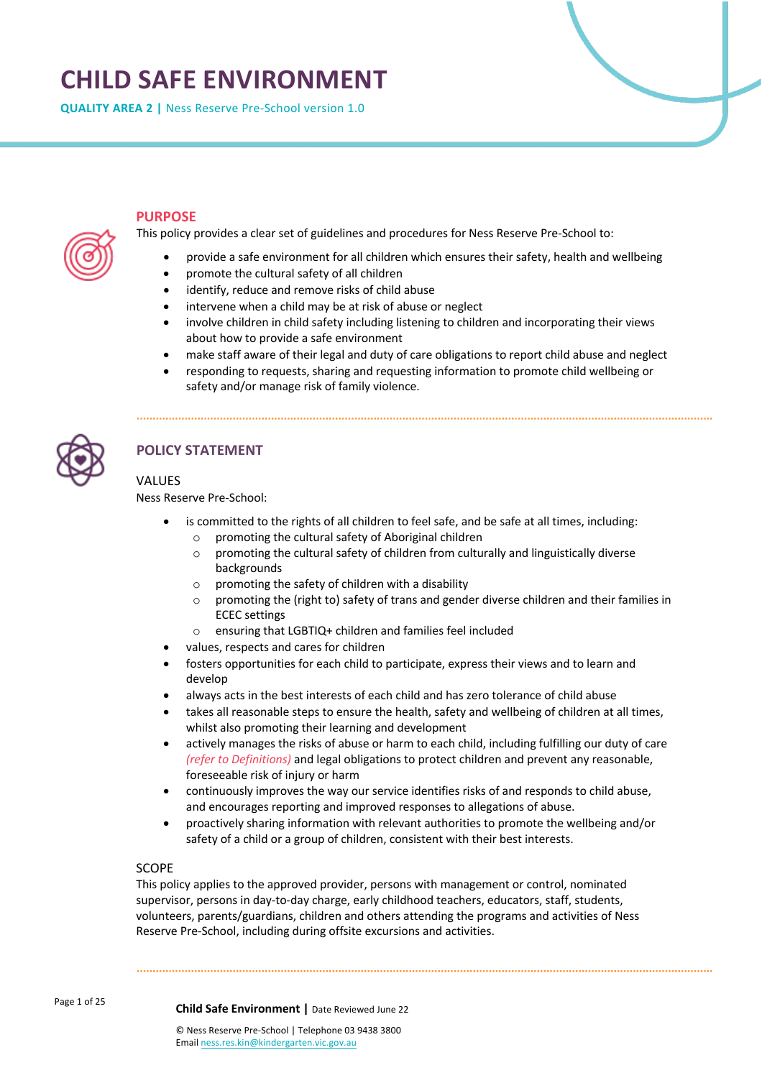# **CHILD SAFE ENVIRONMENT**

**QUALITY AREA 2 |** Ness Reserve Pre-School version 1.0



# **PURPOSE**

This policy provides a clear set of guidelines and procedures for Ness Reserve Pre-School to:

- provide a safe environment for all children which ensures their safety, health and wellbeing
- promote the cultural safety of all children
- identify, reduce and remove risks of child abuse
- intervene when a child may be at risk of abuse or neglect
- involve children in child safety including listening to children and incorporating their views about how to provide a safe environment
- make staff aware of their legal and duty of care obligations to report child abuse and neglect
- responding to requests, sharing and requesting information to promote child wellbeing or safety and/or manage risk of family violence.



# **POLICY STATEMENT**

# VALUES

Ness Reserve Pre-School:

- is committed to the rights of all children to feel safe, and be safe at all times, including: o promoting the cultural safety of Aboriginal children
	- o promoting the cultural safety of children from culturally and linguistically diverse backgrounds
	- o promoting the safety of children with a disability
	- $\circ$  promoting the (right to) safety of trans and gender diverse children and their families in ECEC settings
	- o ensuring that LGBTIQ+ children and families feel included
- values, respects and cares for children
- fosters opportunities for each child to participate, express their views and to learn and develop
- always acts in the best interests of each child and has zero tolerance of child abuse
- takes all reasonable steps to ensure the health, safety and wellbeing of children at all times, whilst also promoting their learning and development
- actively manages the risks of abuse or harm to each child, including fulfilling our duty of care *(refer to Definitions)* and legal obligations to protect children and prevent any reasonable, foreseeable risk of injury or harm
- continuously improves the way our service identifies risks of and responds to child abuse, and encourages reporting and improved responses to allegations of abuse.
- proactively sharing information with relevant authorities to promote the wellbeing and/or safety of a child or a group of children, consistent with their best interests.

# SCOPE

This policy applies to the approved provider, persons with management or control, nominated supervisor, persons in day-to-day charge, early childhood teachers, educators, staff, students, volunteers, parents/guardians, children and others attending the programs and activities of Ness Reserve Pre-School, including during offsite excursions and activities.

Page 1 of 25

**Child Safe Environment |** Date Reviewed June 22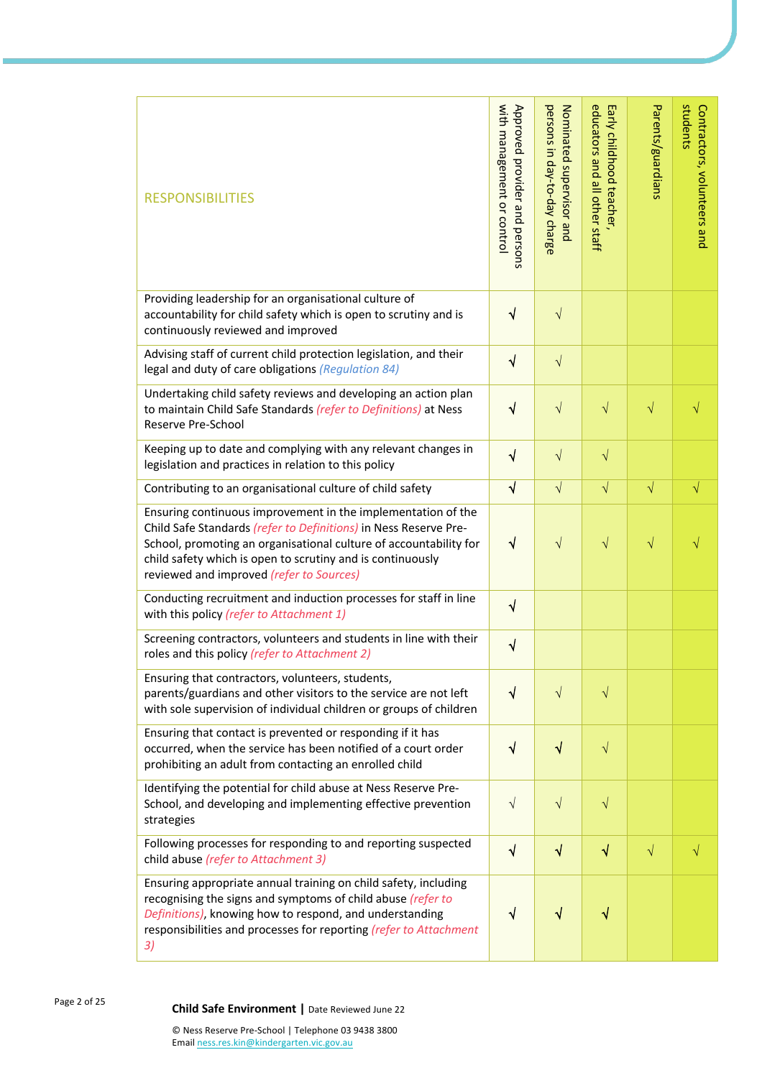| <b>RESPONSIBILITIES</b>                                                                                                                                                                                                                                                                                         | with management or control<br>Approved provider and persons | persons in day-to-day charge<br>Nominated supervisor and | educators and<br>Early childhood teacher,<br>all other staff | Parents/guardians | students<br>Contractors, volunteers and |
|-----------------------------------------------------------------------------------------------------------------------------------------------------------------------------------------------------------------------------------------------------------------------------------------------------------------|-------------------------------------------------------------|----------------------------------------------------------|--------------------------------------------------------------|-------------------|-----------------------------------------|
| Providing leadership for an organisational culture of<br>accountability for child safety which is open to scrutiny and is<br>continuously reviewed and improved                                                                                                                                                 | $\sqrt{}$                                                   | $\sqrt{}$                                                |                                                              |                   |                                         |
| Advising staff of current child protection legislation, and their<br>legal and duty of care obligations (Regulation 84)                                                                                                                                                                                         | $\sqrt{}$                                                   | $\sqrt{}$                                                |                                                              |                   |                                         |
| Undertaking child safety reviews and developing an action plan<br>to maintain Child Safe Standards (refer to Definitions) at Ness<br>Reserve Pre-School                                                                                                                                                         | √                                                           | $\sqrt{}$                                                | $\sqrt{}$                                                    | $\sqrt{}$         | $\sqrt{}$                               |
| Keeping up to date and complying with any relevant changes in<br>legislation and practices in relation to this policy                                                                                                                                                                                           | $\sqrt{}$                                                   | $\sqrt{}$                                                | $\sqrt{}$                                                    |                   |                                         |
| Contributing to an organisational culture of child safety                                                                                                                                                                                                                                                       | $\sqrt{ }$                                                  | $\sqrt{}$                                                | $\sqrt{}$                                                    | $\sqrt{}$         | $\sqrt{}$                               |
| Ensuring continuous improvement in the implementation of the<br>Child Safe Standards (refer to Definitions) in Ness Reserve Pre-<br>School, promoting an organisational culture of accountability for<br>child safety which is open to scrutiny and is continuously<br>reviewed and improved (refer to Sources) | $\sqrt{}$                                                   | $\sqrt{}$                                                | $\sqrt{}$                                                    | $\sqrt{}$         | V                                       |
| Conducting recruitment and induction processes for staff in line<br>with this policy (refer to Attachment 1)                                                                                                                                                                                                    | $\sqrt{}$                                                   |                                                          |                                                              |                   |                                         |
| Screening contractors, volunteers and students in line with their<br>roles and this policy (refer to Attachment 2)                                                                                                                                                                                              | $\sqrt{}$                                                   |                                                          |                                                              |                   |                                         |
| Ensuring that contractors, volunteers, students,<br>parents/guardians and other visitors to the service are not left<br>with sole supervision of individual children or groups of children                                                                                                                      | $\sqrt{}$                                                   | $\sqrt{}$                                                | $\sqrt{}$                                                    |                   |                                         |
| Ensuring that contact is prevented or responding if it has<br>occurred, when the service has been notified of a court order<br>prohibiting an adult from contacting an enrolled child                                                                                                                           | $\sqrt{}$                                                   | $\sqrt{}$                                                | $\sqrt{}$                                                    |                   |                                         |
| Identifying the potential for child abuse at Ness Reserve Pre-<br>School, and developing and implementing effective prevention<br>strategies                                                                                                                                                                    | $\sqrt{}$                                                   | $\sqrt{}$                                                | $\sqrt{}$                                                    |                   |                                         |
| Following processes for responding to and reporting suspected<br>child abuse (refer to Attachment 3)                                                                                                                                                                                                            | $\sqrt{}$                                                   | $\sqrt{}$                                                | $\sqrt{}$                                                    | $\sqrt{}$         | $\sqrt{}$                               |
| Ensuring appropriate annual training on child safety, including<br>recognising the signs and symptoms of child abuse (refer to<br>Definitions), knowing how to respond, and understanding<br>responsibilities and processes for reporting (refer to Attachment<br>3)                                            | √                                                           | √                                                        | √                                                            |                   |                                         |

Page 2 of 25 **Child Safe Environment <sup>|</sup>**Date Reviewed June 22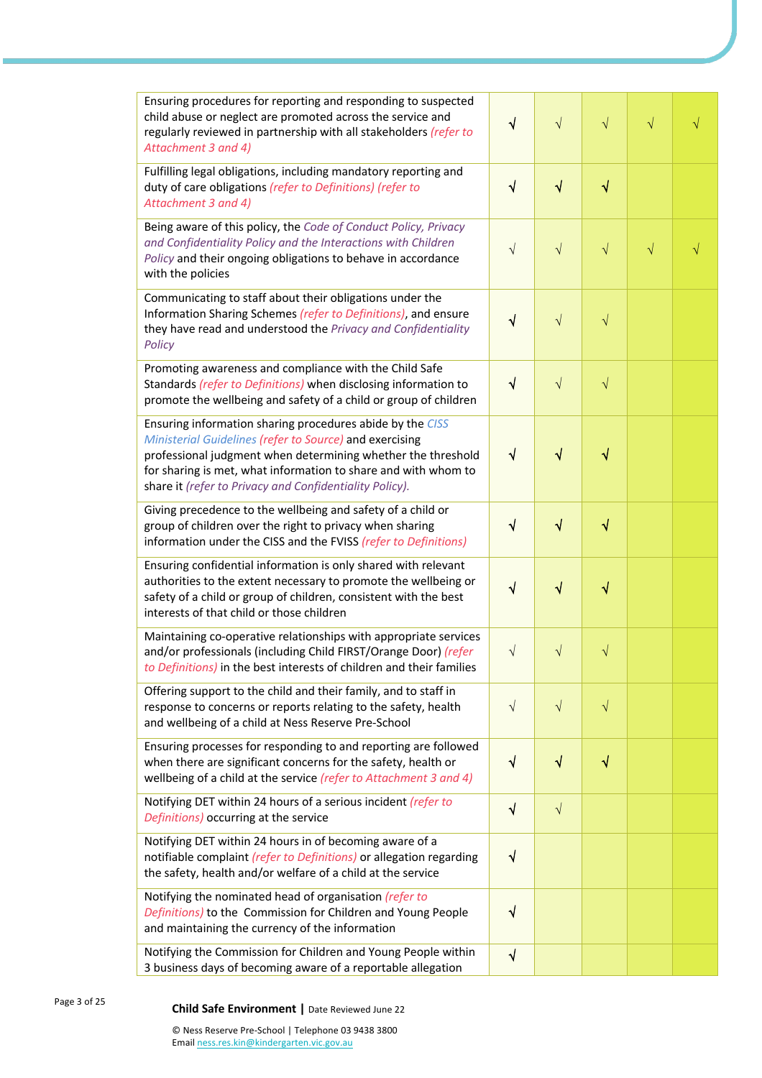| Ensuring procedures for reporting and responding to suspected<br>child abuse or neglect are promoted across the service and<br>regularly reviewed in partnership with all stakeholders (refer to<br>Attachment 3 and 4)                                                                                           | $\sqrt{}$ | $\sqrt{}$ | $\sqrt{}$                        | $\sqrt{}$ | √         |
|-------------------------------------------------------------------------------------------------------------------------------------------------------------------------------------------------------------------------------------------------------------------------------------------------------------------|-----------|-----------|----------------------------------|-----------|-----------|
| Fulfilling legal obligations, including mandatory reporting and<br>duty of care obligations (refer to Definitions) (refer to<br>Attachment 3 and 4)                                                                                                                                                               | $\sqrt{}$ | $\sqrt{}$ | $\sqrt{}$                        |           |           |
| Being aware of this policy, the Code of Conduct Policy, Privacy<br>and Confidentiality Policy and the Interactions with Children<br>Policy and their ongoing obligations to behave in accordance<br>with the policies                                                                                             | $\sqrt{}$ | $\sqrt{}$ | $\sqrt{}$                        | $\sqrt{}$ | $\sqrt{}$ |
| Communicating to staff about their obligations under the<br>Information Sharing Schemes (refer to Definitions), and ensure<br>they have read and understood the Privacy and Confidentiality<br>Policy                                                                                                             | $\sqrt{}$ | $\sqrt{}$ | $\sqrt{}$                        |           |           |
| Promoting awareness and compliance with the Child Safe<br>Standards (refer to Definitions) when disclosing information to<br>promote the wellbeing and safety of a child or group of children                                                                                                                     | $\sqrt{}$ | $\sqrt{}$ | $\sqrt{}$                        |           |           |
| Ensuring information sharing procedures abide by the CISS<br>Ministerial Guidelines (refer to Source) and exercising<br>professional judgment when determining whether the threshold<br>for sharing is met, what information to share and with whom to<br>share it (refer to Privacy and Confidentiality Policy). | $\sqrt{}$ | $\sqrt{}$ | $\color{red} \blacktriangleleft$ |           |           |
| Giving precedence to the wellbeing and safety of a child or<br>group of children over the right to privacy when sharing<br>information under the CISS and the FVISS (refer to Definitions)                                                                                                                        | $\sqrt{}$ | $\sqrt{}$ | $\sqrt{}$                        |           |           |
| Ensuring confidential information is only shared with relevant<br>authorities to the extent necessary to promote the wellbeing or<br>safety of a child or group of children, consistent with the best<br>interests of that child or those children                                                                | $\sqrt{}$ | $\sqrt{}$ | $\color{red} \sqrt$              |           |           |
| Maintaining co-operative relationships with appropriate services<br>and/or professionals (including Child FIRST/Orange Door) (refer<br>to Definitions) in the best interests of children and their families                                                                                                       | $\sqrt{}$ | $\sqrt{}$ | $\sqrt{}$                        |           |           |
| Offering support to the child and their family, and to staff in<br>response to concerns or reports relating to the safety, health<br>and wellbeing of a child at Ness Reserve Pre-School                                                                                                                          | $\sqrt{}$ | $\sqrt{}$ | $\sqrt{}$                        |           |           |
| Ensuring processes for responding to and reporting are followed<br>when there are significant concerns for the safety, health or<br>wellbeing of a child at the service (refer to Attachment 3 and 4)                                                                                                             | $\sqrt{}$ | $\sqrt{}$ | $\sqrt{}$                        |           |           |
| Notifying DET within 24 hours of a serious incident (refer to<br>Definitions) occurring at the service                                                                                                                                                                                                            | $\sqrt{}$ | $\sqrt{}$ |                                  |           |           |
| Notifying DET within 24 hours in of becoming aware of a<br>notifiable complaint (refer to Definitions) or allegation regarding<br>the safety, health and/or welfare of a child at the service                                                                                                                     | $\sqrt{}$ |           |                                  |           |           |
| Notifying the nominated head of organisation (refer to<br>Definitions) to the Commission for Children and Young People<br>and maintaining the currency of the information                                                                                                                                         | $\sqrt{}$ |           |                                  |           |           |
| Notifying the Commission for Children and Young People within<br>3 business days of becoming aware of a reportable allegation                                                                                                                                                                                     | $\sqrt{}$ |           |                                  |           |           |

Page 3 of 25

# **Child Safe Environment** | Date Reviewed June 22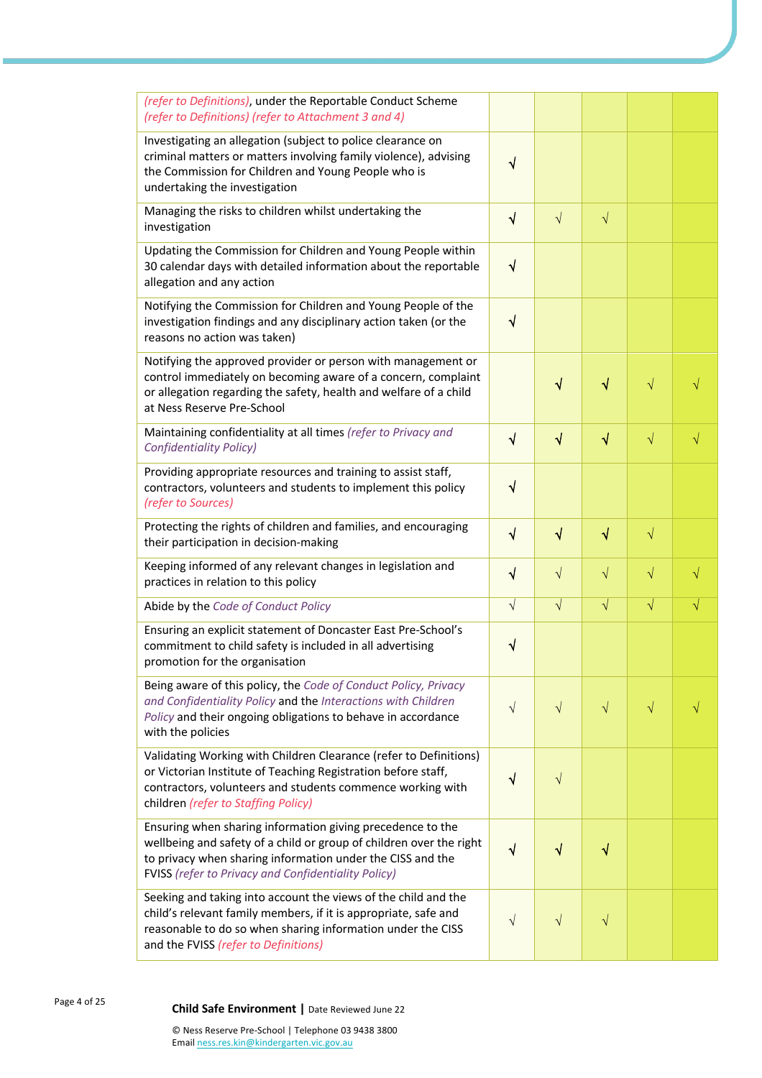| (refer to Definitions), under the Reportable Conduct Scheme<br>(refer to Definitions) (refer to Attachment 3 and 4)                                                                                                                                           |           |           |                                  |           |           |
|---------------------------------------------------------------------------------------------------------------------------------------------------------------------------------------------------------------------------------------------------------------|-----------|-----------|----------------------------------|-----------|-----------|
| Investigating an allegation (subject to police clearance on<br>criminal matters or matters involving family violence), advising<br>the Commission for Children and Young People who is<br>undertaking the investigation                                       | $\sqrt{}$ |           |                                  |           |           |
| Managing the risks to children whilst undertaking the<br>investigation                                                                                                                                                                                        | $\sqrt{}$ | $\sqrt{}$ | $\sqrt{}$                        |           |           |
| Updating the Commission for Children and Young People within<br>30 calendar days with detailed information about the reportable<br>allegation and any action                                                                                                  | $\sqrt{}$ |           |                                  |           |           |
| Notifying the Commission for Children and Young People of the<br>investigation findings and any disciplinary action taken (or the<br>reasons no action was taken)                                                                                             | $\sqrt{}$ |           |                                  |           |           |
| Notifying the approved provider or person with management or<br>control immediately on becoming aware of a concern, complaint<br>or allegation regarding the safety, health and welfare of a child<br>at Ness Reserve Pre-School                              |           | $\sqrt{}$ | √                                | $\sqrt{}$ | √         |
| Maintaining confidentiality at all times (refer to Privacy and<br><b>Confidentiality Policy)</b>                                                                                                                                                              | $\sqrt{}$ | $\sqrt{}$ | $\sqrt{}$                        | $\sqrt{}$ | $\sqrt{}$ |
| Providing appropriate resources and training to assist staff,<br>contractors, volunteers and students to implement this policy<br>(refer to Sources)                                                                                                          | $\sqrt{}$ |           |                                  |           |           |
| Protecting the rights of children and families, and encouraging<br>their participation in decision-making                                                                                                                                                     | $\sqrt{}$ | $\sqrt{}$ | $\sqrt{}$                        | $\sqrt{}$ |           |
| Keeping informed of any relevant changes in legislation and<br>practices in relation to this policy                                                                                                                                                           | $\sqrt{}$ | $\sqrt{}$ | $\sqrt{}$                        | $\sqrt{}$ | $\sqrt{}$ |
| Abide by the Code of Conduct Policy                                                                                                                                                                                                                           | $\sqrt{}$ | $\sqrt{}$ | $\sqrt{}$                        | $\sqrt{}$ | $\sqrt{}$ |
| Ensuring an explicit statement of Doncaster East Pre-School's<br>commitment to child safety is included in all advertising<br>promotion for the organisation                                                                                                  | V         |           |                                  |           |           |
| Being aware of this policy, the Code of Conduct Policy, Privacy<br>and Confidentiality Policy and the Interactions with Children<br>Policy and their ongoing obligations to behave in accordance<br>with the policies                                         | $\sqrt{}$ | $\sqrt{}$ | $\sqrt{}$                        | $\sqrt{}$ | $\sqrt{}$ |
| Validating Working with Children Clearance (refer to Definitions)<br>or Victorian Institute of Teaching Registration before staff,<br>contractors, volunteers and students commence working with<br>children (refer to Staffing Policy)                       | $\sqrt{}$ | $\sqrt{}$ |                                  |           |           |
| Ensuring when sharing information giving precedence to the<br>wellbeing and safety of a child or group of children over the right<br>to privacy when sharing information under the CISS and the<br><b>FVISS</b> (refer to Privacy and Confidentiality Policy) | $\sqrt{}$ | $\sqrt{}$ | $\color{red} \blacktriangleleft$ |           |           |
| Seeking and taking into account the views of the child and the<br>child's relevant family members, if it is appropriate, safe and<br>reasonable to do so when sharing information under the CISS<br>and the FVISS (refer to Definitions)                      | $\sqrt{}$ | $\sqrt{}$ | $\sqrt{}$                        |           |           |

<sup>4</sup> of 25 **Child Safe Environment <sup>|</sup>**Date Reviewed June 22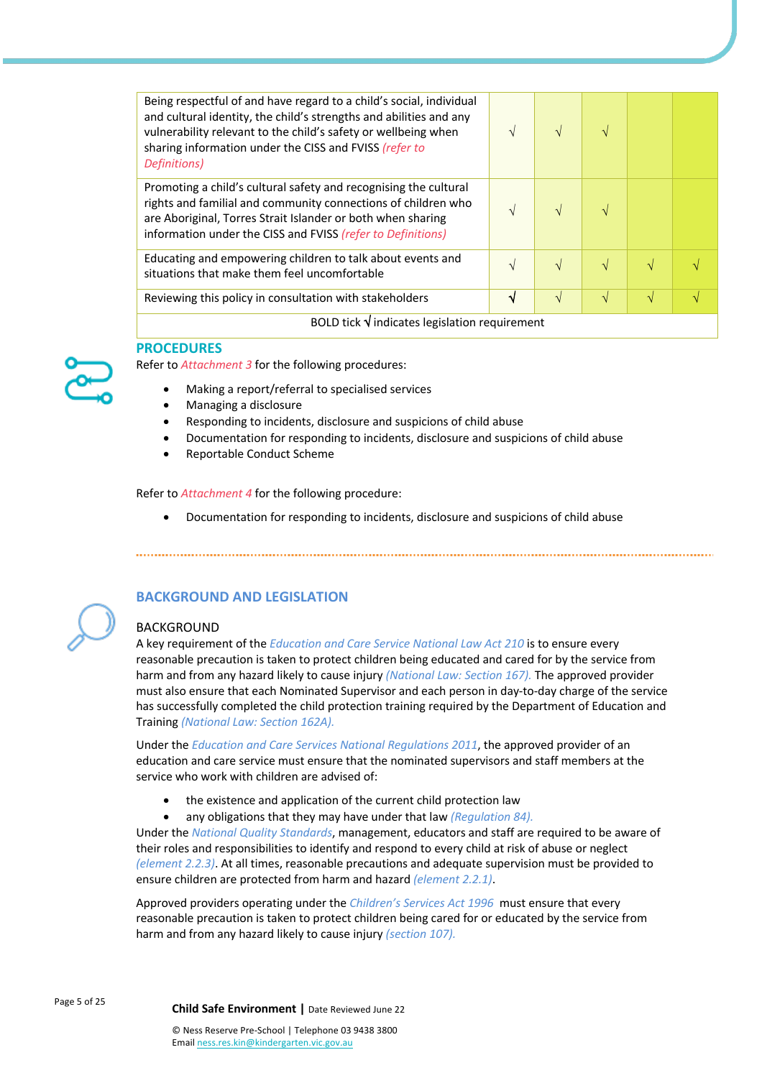| Being respectful of and have regard to a child's social, individual<br>and cultural identity, the child's strengths and abilities and any<br>vulnerability relevant to the child's safety or wellbeing when<br>sharing information under the CISS and FVISS (refer to<br>Definitions) | N | $\sqrt{ }$ |           |   |  |
|---------------------------------------------------------------------------------------------------------------------------------------------------------------------------------------------------------------------------------------------------------------------------------------|---|------------|-----------|---|--|
| Promoting a child's cultural safety and recognising the cultural<br>rights and familial and community connections of children who<br>are Aboriginal, Torres Strait Islander or both when sharing<br>information under the CISS and FVISS (refer to Definitions)                       | V |            |           |   |  |
| Educating and empowering children to talk about events and<br>situations that make them feel uncomfortable                                                                                                                                                                            |   |            |           | N |  |
| Reviewing this policy in consultation with stakeholders                                                                                                                                                                                                                               | V | $\sqrt{ }$ | $\sqrt{}$ | N |  |
| BOLD tick $\sqrt{}$ indicates legislation requirement                                                                                                                                                                                                                                 |   |            |           |   |  |



## **PROCEDURES**

Refer to *Attachment 3* for the following procedures:

- Making a report/referral to specialised services
- Managing a disclosure
- Responding to incidents, disclosure and suspicions of child abuse
- Documentation for responding to incidents, disclosure and suspicions of child abuse
- Reportable Conduct Scheme

Refer to *Attachment 4* for the following procedure:

• Documentation for responding to incidents, disclosure and suspicions of child abuse

# **BACKGROUND AND LEGISLATION**

## BACKGROUND

A key requirement of the *Education and Care Service National Law Act 210* is to ensure every reasonable precaution is taken to protect children being educated and cared for by the service from harm and from any hazard likely to cause injury *(National Law: Section 167).* The approved provider must also ensure that each Nominated Supervisor and each person in day-to-day charge of the service has successfully completed the child protection training required by the Department of Education and Training *(National Law: Section 162A).*

Under the *Education and Care Services National Regulations 2011*, the approved provider of an education and care service must ensure that the nominated supervisors and staff members at the service who work with children are advised of:

- the existence and application of the current child protection law
- any obligations that they may have under that law *(Regulation 84).*

Under the *National Quality Standards*, management, educators and staff are required to be aware of their roles and responsibilities to identify and respond to every child at risk of abuse or neglect *(element 2.2.3)*. At all times, reasonable precautions and adequate supervision must be provided to ensure children are protected from harm and hazard *(element 2.2.1)*.

Approved providers operating under the *Children's Services Act 1996* must ensure that every reasonable precaution is taken to protect children being cared for or educated by the service from harm and from any hazard likely to cause injury *(section 107).*

Page 5 of 25 **Child Safe Environment <sup>|</sup>**Date Reviewed June 22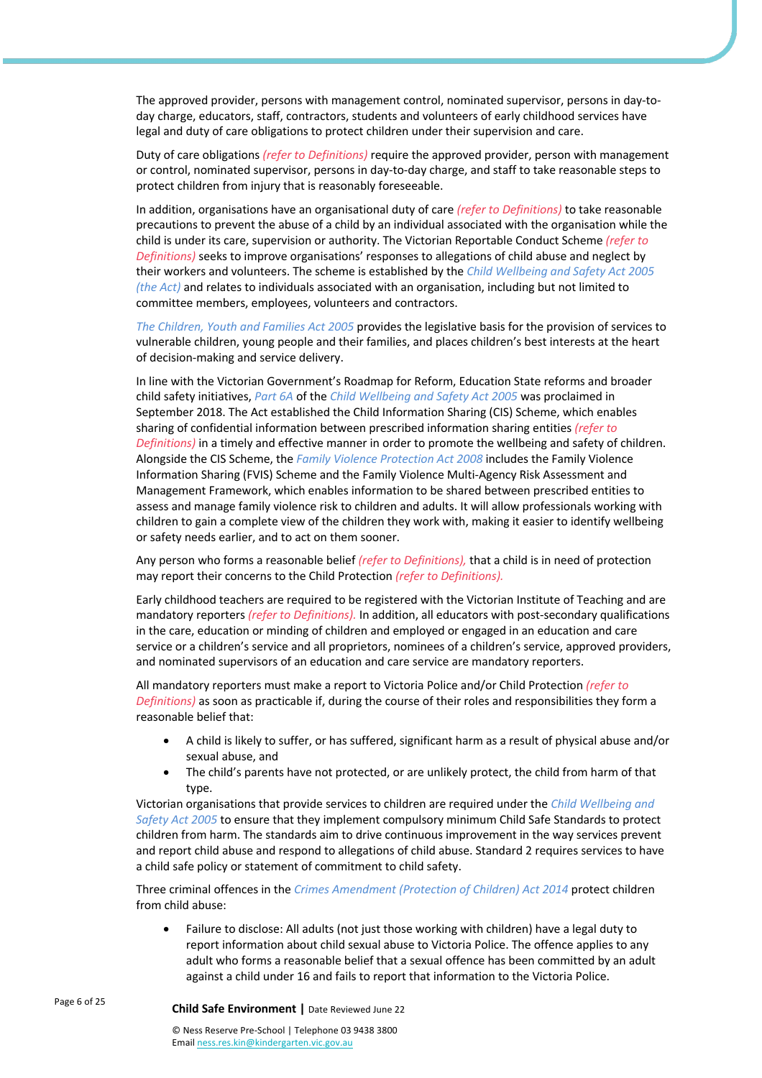The approved provider, persons with management control, nominated supervisor, persons in day-today charge, educators, staff, contractors, students and volunteers of early childhood services have legal and duty of care obligations to protect children under their supervision and care.

Duty of care obligations *(refer to Definitions)* require the approved provider, person with management or control, nominated supervisor, persons in day-to-day charge, and staff to take reasonable steps to protect children from injury that is reasonably foreseeable.

In addition, organisations have an organisational duty of care *(refer to Definitions)* to take reasonable precautions to prevent the abuse of a child by an individual associated with the organisation while the child is under its care, supervision or authority. The Victorian Reportable Conduct Scheme *(refer to Definitions)* seeks to improve organisations' responses to allegations of child abuse and neglect by their workers and volunteers. The scheme is established by the *Child Wellbeing and Safety Act 2005 (the Act)* and relates to individuals associated with an organisation, including but not limited to committee members, employees, volunteers and contractors.

*The Children, Youth and Families Act 2005* provides the legislative basis for the provision of services to vulnerable children, young people and their families, and places children's best interests at the heart of decision-making and service delivery.

In line with the Victorian Government's Roadmap for Reform, Education State reforms and broader child safety initiatives, *Part 6A* of the *Child Wellbeing and Safety Act 2005* was proclaimed in September 2018. The Act established the Child Information Sharing (CIS) Scheme, which enables sharing of confidential information between prescribed information sharing entities *(refer to Definitions)* in a timely and effective manner in order to promote the wellbeing and safety of children. Alongside the CIS Scheme, the *Family Violence Protection Act 2008* includes the Family Violence Information Sharing (FVIS) Scheme and the Family Violence Multi-Agency Risk Assessment and Management Framework, which enables information to be shared between prescribed entities to assess and manage family violence risk to children and adults. It will allow professionals working with children to gain a complete view of the children they work with, making it easier to identify wellbeing or safety needs earlier, and to act on them sooner.

Any person who forms a reasonable belief *(refer to Definitions),* that a child is in need of protection may report their concerns to the Child Protection *(refer to Definitions).*

Early childhood teachers are required to be registered with the Victorian Institute of Teaching and are mandatory reporters *(refer to Definitions).* In addition, all educators with post-secondary qualifications in the care, education or minding of children and employed or engaged in an education and care service or a children's service and all proprietors, nominees of a children's service, approved providers, and nominated supervisors of an education and care service are mandatory reporters.

All mandatory reporters must make a report to Victoria Police and/or Child Protection *(refer to Definitions)* as soon as practicable if, during the course of their roles and responsibilities they form a reasonable belief that:

- A child is likely to suffer, or has suffered, significant harm as a result of physical abuse and/or sexual abuse, and
- The child's parents have not protected, or are unlikely protect, the child from harm of that type.

Victorian organisations that provide services to children are required under the *Child Wellbeing and Safety Act 2005* to ensure that they implement compulsory minimum Child Safe Standards to protect children from harm. The standards aim to drive continuous improvement in the way services prevent and report child abuse and respond to allegations of child abuse. Standard 2 requires services to have a child safe policy or statement of commitment to child safety.

Three criminal offences in the *Crimes Amendment (Protection of Children) Act 2014* protect children from child abuse:

• Failure to disclose: All adults (not just those working with children) have a legal duty to report information about child sexual abuse to Victoria Police. The offence applies to any adult who forms a reasonable belief that a sexual offence has been committed by an adult against a child under 16 and fails to report that information to the Victoria Police.

Email ness.res.kin@kindergarten.vic.gov.au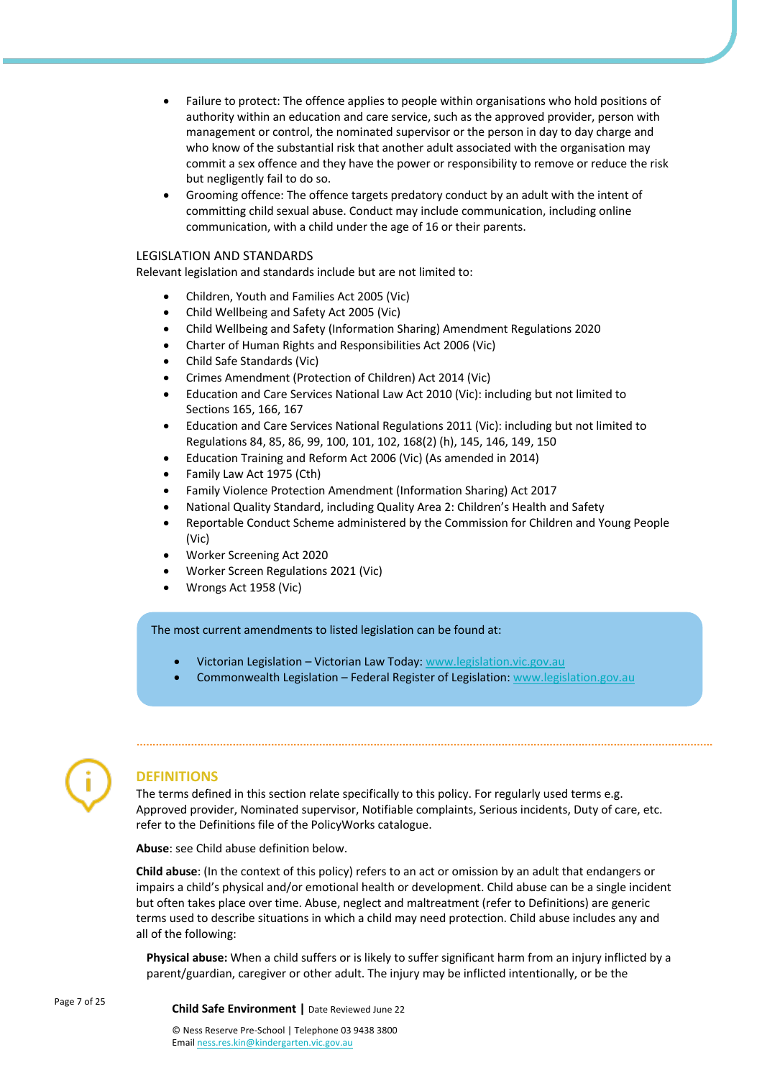- Failure to protect: The offence applies to people within organisations who hold positions of authority within an education and care service, such as the approved provider, person with management or control, the nominated supervisor or the person in day to day charge and who know of the substantial risk that another adult associated with the organisation may commit a sex offence and they have the power or responsibility to remove or reduce the risk but negligently fail to do so.
- Grooming offence: The offence targets predatory conduct by an adult with the intent of committing child sexual abuse. Conduct may include communication, including online communication, with a child under the age of 16 or their parents.

#### LEGISLATION AND STANDARDS

Relevant legislation and standards include but are not limited to:

- Children, Youth and Families Act 2005 (Vic)
- Child Wellbeing and Safety Act 2005 (Vic)
- Child Wellbeing and Safety (Information Sharing) Amendment Regulations 2020
- Charter of Human Rights and Responsibilities Act 2006 (Vic)
- Child Safe Standards (Vic)
- Crimes Amendment (Protection of Children) Act 2014 (Vic)
- Education and Care Services National Law Act 2010 (Vic): including but not limited to Sections 165, 166, 167
- Education and Care Services National Regulations 2011 (Vic): including but not limited to Regulations 84, 85, 86, 99, 100, 101, 102, 168(2) (h), 145, 146, 149, 150
- Education Training and Reform Act 2006 (Vic) (As amended in 2014)
- Family Law Act 1975 (Cth)
- Family Violence Protection Amendment (Information Sharing) Act 2017
- National Quality Standard, including Quality Area 2: Children's Health and Safety
- Reportable Conduct Scheme administered by the Commission for Children and Young People (Vic)
- Worker Screening Act 2020
- Worker Screen Regulations 2021 (Vic)
- Wrongs Act 1958 (Vic)

The most current amendments to listed legislation can be found at:

- Victorian Legislation Victorian Law Today: www.legislation.vic.gov.au
- Commonwealth Legislation Federal Register of Legislation: www.legislation.gov.au



# **DEFINITIONS**

The terms defined in this section relate specifically to this policy. For regularly used terms e.g. Approved provider, Nominated supervisor, Notifiable complaints, Serious incidents, Duty of care, etc. refer to the Definitions file of the PolicyWorks catalogue.

**Abuse**: see Child abuse definition below.

**Child abuse**: (In the context of this policy) refers to an act or omission by an adult that endangers or impairs a child's physical and/or emotional health or development. Child abuse can be a single incident but often takes place over time. Abuse, neglect and maltreatment (refer to Definitions) are generic terms used to describe situations in which a child may need protection. Child abuse includes any and all of the following:

**Physical abuse:** When a child suffers or is likely to suffer significant harm from an injury inflicted by a parent/guardian, caregiver or other adult. The injury may be inflicted intentionally, or be the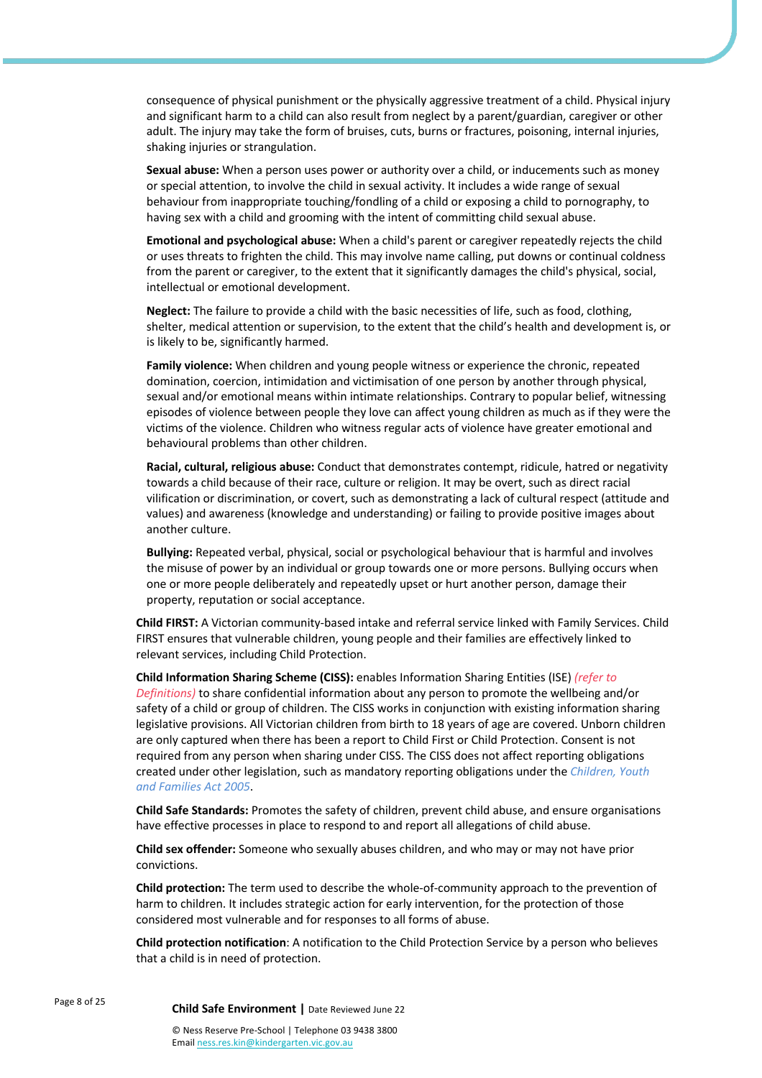consequence of physical punishment or the physically aggressive treatment of a child. Physical injury and significant harm to a child can also result from neglect by a parent/guardian, caregiver or other adult. The injury may take the form of bruises, cuts, burns or fractures, poisoning, internal injuries, shaking injuries or strangulation.

**Sexual abuse:** When a person uses power or authority over a child, or inducements such as money or special attention, to involve the child in sexual activity. It includes a wide range of sexual behaviour from inappropriate touching/fondling of a child or exposing a child to pornography, to having sex with a child and grooming with the intent of committing child sexual abuse.

**Emotional and psychological abuse:** When a child's parent or caregiver repeatedly rejects the child or uses threats to frighten the child. This may involve name calling, put downs or continual coldness from the parent or caregiver, to the extent that it significantly damages the child's physical, social, intellectual or emotional development.

**Neglect:** The failure to provide a child with the basic necessities of life, such as food, clothing, shelter, medical attention or supervision, to the extent that the child's health and development is, or is likely to be, significantly harmed.

**Family violence:** When children and young people witness or experience the chronic, repeated domination, coercion, intimidation and victimisation of one person by another through physical, sexual and/or emotional means within intimate relationships. Contrary to popular belief, witnessing episodes of violence between people they love can affect young children as much as if they were the victims of the violence. Children who witness regular acts of violence have greater emotional and behavioural problems than other children.

**Racial, cultural, religious abuse:** Conduct that demonstrates contempt, ridicule, hatred or negativity towards a child because of their race, culture or religion. It may be overt, such as direct racial vilification or discrimination, or covert, such as demonstrating a lack of cultural respect (attitude and values) and awareness (knowledge and understanding) or failing to provide positive images about another culture.

**Bullying:** Repeated verbal, physical, social or psychological behaviour that is harmful and involves the misuse of power by an individual or group towards one or more persons. Bullying occurs when one or more people deliberately and repeatedly upset or hurt another person, damage their property, reputation or social acceptance.

**Child FIRST:** A Victorian community-based intake and referral service linked with Family Services. Child FIRST ensures that vulnerable children, young people and their families are effectively linked to relevant services, including Child Protection.

**Child Information Sharing Scheme (CISS):** enables Information Sharing Entities (ISE) *(refer to Definitions)* to share confidential information about any person to promote the wellbeing and/or safety of a child or group of children. The CISS works in conjunction with existing information sharing legislative provisions. All Victorian children from birth to 18 years of age are covered. Unborn children are only captured when there has been a report to Child First or Child Protection. Consent is not required from any person when sharing under CISS. The CISS does not affect reporting obligations created under other legislation, such as mandatory reporting obligations under the *Children, Youth and Families Act 2005*.

**Child Safe Standards:** Promotes the safety of children, prevent child abuse, and ensure organisations have effective processes in place to respond to and report all allegations of child abuse.

**Child sex offender:** Someone who sexually abuses children, and who may or may not have prior convictions.

**Child protection:** The term used to describe the whole-of-community approach to the prevention of harm to children. It includes strategic action for early intervention, for the protection of those considered most vulnerable and for responses to all forms of abuse.

**Child protection notification**: A notification to the Child Protection Service by a person who believes that a child is in need of protection.

Page 8 of 25 **Child Safe Environment <sup>|</sup>**Date Reviewed June 22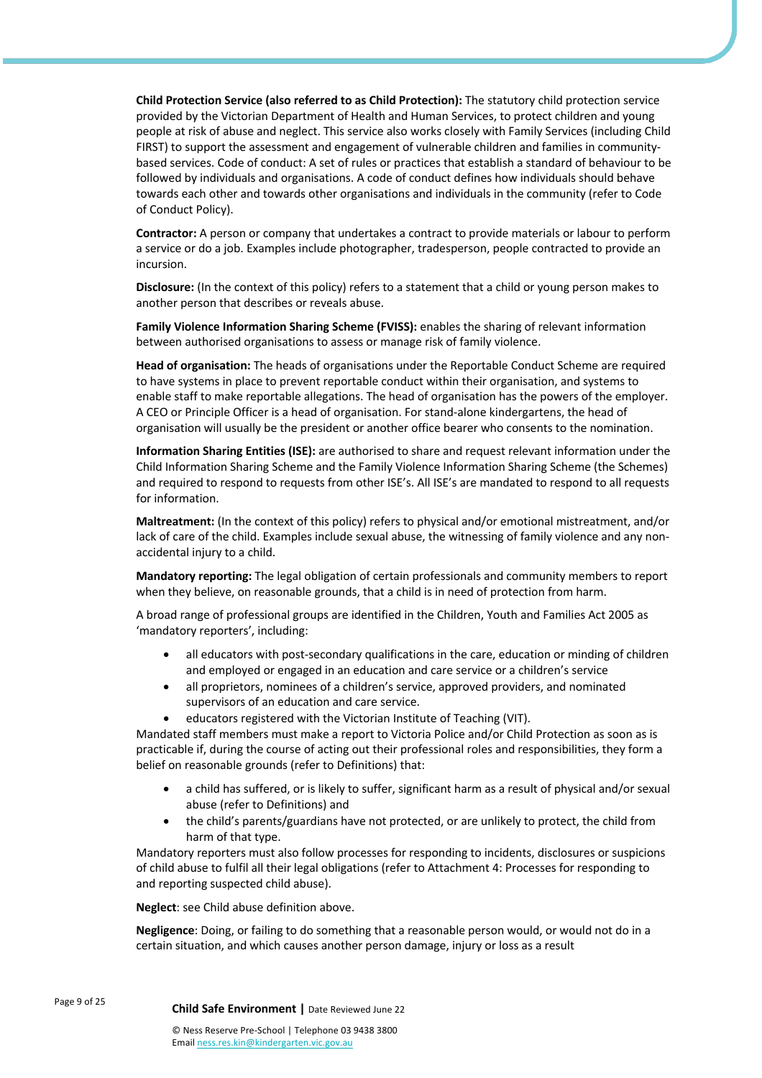**Child Protection Service (also referred to as Child Protection):** The statutory child protection service provided by the Victorian Department of Health and Human Services, to protect children and young people at risk of abuse and neglect. This service also works closely with Family Services (including Child FIRST) to support the assessment and engagement of vulnerable children and families in communitybased services. Code of conduct: A set of rules or practices that establish a standard of behaviour to be followed by individuals and organisations. A code of conduct defines how individuals should behave towards each other and towards other organisations and individuals in the community (refer to Code of Conduct Policy).

**Contractor:** A person or company that undertakes a contract to provide materials or labour to perform a service or do a job. Examples include photographer, tradesperson, people contracted to provide an incursion.

**Disclosure:** (In the context of this policy) refers to a statement that a child or young person makes to another person that describes or reveals abuse.

**Family Violence Information Sharing Scheme (FVISS):** enables the sharing of relevant information between authorised organisations to assess or manage risk of family violence.

**Head of organisation:** The heads of organisations under the Reportable Conduct Scheme are required to have systems in place to prevent reportable conduct within their organisation, and systems to enable staff to make reportable allegations. The head of organisation has the powers of the employer. A CEO or Principle Officer is a head of organisation. For stand-alone kindergartens, the head of organisation will usually be the president or another office bearer who consents to the nomination.

**Information Sharing Entities (ISE):** are authorised to share and request relevant information under the Child Information Sharing Scheme and the Family Violence Information Sharing Scheme (the Schemes) and required to respond to requests from other ISE's. All ISE's are mandated to respond to all requests for information.

**Maltreatment:** (In the context of this policy) refers to physical and/or emotional mistreatment, and/or lack of care of the child. Examples include sexual abuse, the witnessing of family violence and any nonaccidental injury to a child.

**Mandatory reporting:** The legal obligation of certain professionals and community members to report when they believe, on reasonable grounds, that a child is in need of protection from harm.

A broad range of professional groups are identified in the Children, Youth and Families Act 2005 as 'mandatory reporters', including:

- all educators with post-secondary qualifications in the care, education or minding of children and employed or engaged in an education and care service or a children's service
- all proprietors, nominees of a children's service, approved providers, and nominated supervisors of an education and care service.
- educators registered with the Victorian Institute of Teaching (VIT).

Mandated staff members must make a report to Victoria Police and/or Child Protection as soon as is practicable if, during the course of acting out their professional roles and responsibilities, they form a belief on reasonable grounds (refer to Definitions) that:

- a child has suffered, or is likely to suffer, significant harm as a result of physical and/or sexual abuse (refer to Definitions) and
- the child's parents/guardians have not protected, or are unlikely to protect, the child from harm of that type.

Mandatory reporters must also follow processes for responding to incidents, disclosures or suspicions of child abuse to fulfil all their legal obligations (refer to Attachment 4: Processes for responding to and reporting suspected child abuse).

**Neglect**: see Child abuse definition above.

**Negligence**: Doing, or failing to do something that a reasonable person would, or would not do in a certain situation, and which causes another person damage, injury or loss as a result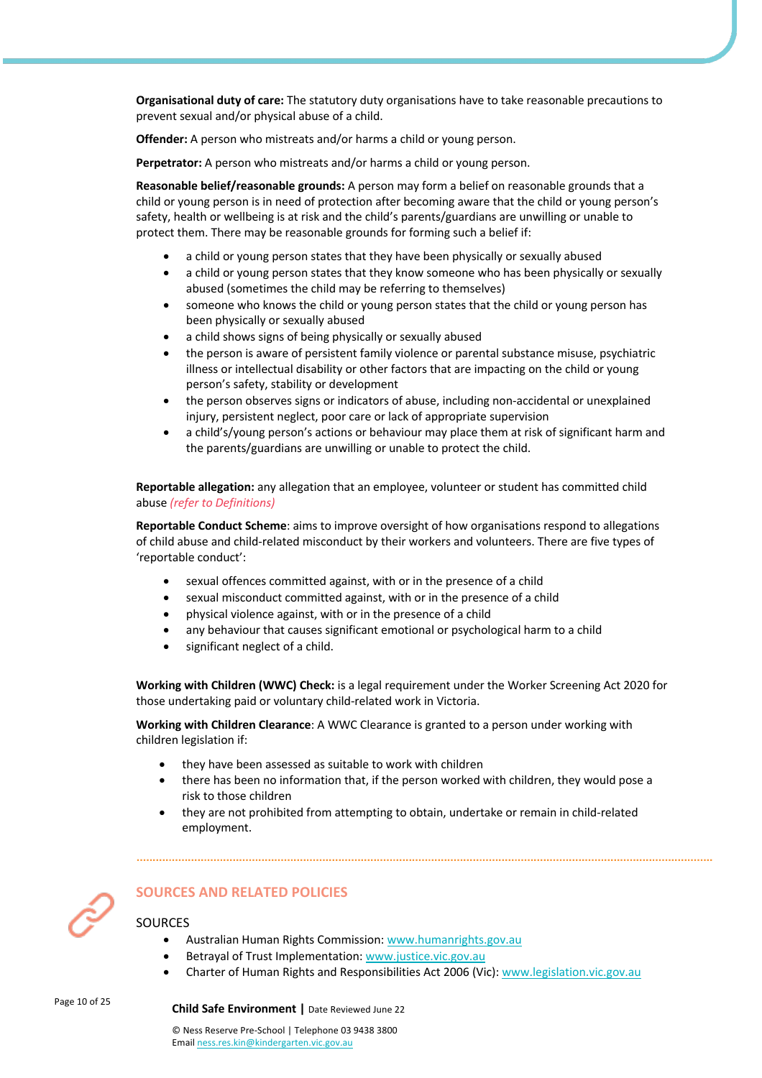**Organisational duty of care:** The statutory duty organisations have to take reasonable precautions to prevent sexual and/or physical abuse of a child.

**Offender:** A person who mistreats and/or harms a child or young person.

**Perpetrator:** A person who mistreats and/or harms a child or young person.

**Reasonable belief/reasonable grounds:** A person may form a belief on reasonable grounds that a child or young person is in need of protection after becoming aware that the child or young person's safety, health or wellbeing is at risk and the child's parents/guardians are unwilling or unable to protect them. There may be reasonable grounds for forming such a belief if:

- a child or young person states that they have been physically or sexually abused
- a child or young person states that they know someone who has been physically or sexually abused (sometimes the child may be referring to themselves)
- someone who knows the child or young person states that the child or young person has been physically or sexually abused
- a child shows signs of being physically or sexually abused
- the person is aware of persistent family violence or parental substance misuse, psychiatric illness or intellectual disability or other factors that are impacting on the child or young person's safety, stability or development
- the person observes signs or indicators of abuse, including non-accidental or unexplained injury, persistent neglect, poor care or lack of appropriate supervision
- a child's/young person's actions or behaviour may place them at risk of significant harm and the parents/guardians are unwilling or unable to protect the child.

**Reportable allegation:** any allegation that an employee, volunteer or student has committed child abuse *(refer to Definitions)*

**Reportable Conduct Scheme**: aims to improve oversight of how organisations respond to allegations of child abuse and child-related misconduct by their workers and volunteers. There are five types of 'reportable conduct':

- sexual offences committed against, with or in the presence of a child
- sexual misconduct committed against, with or in the presence of a child
- physical violence against, with or in the presence of a child
- any behaviour that causes significant emotional or psychological harm to a child
- significant neglect of a child.

**Working with Children (WWC) Check:** is a legal requirement under the Worker Screening Act 2020 for those undertaking paid or voluntary child-related work in Victoria.

**Working with Children Clearance**: A WWC Clearance is granted to a person under working with children legislation if:

- they have been assessed as suitable to work with children
- there has been no information that, if the person worked with children, they would pose a risk to those children
- they are not prohibited from attempting to obtain, undertake or remain in child-related employment.



# **SOURCES AND RELATED POLICIES**

**SOURCES** 

- Australian Human Rights Commission: www.humanrights.gov.au
- Betrayal of Trust Implementation: www.justice.vic.gov.au
- Charter of Human Rights and Responsibilities Act 2006 (Vic): www.legislation.vic.gov.au

# Page 10 of 25 **Child Safe Environment <sup>|</sup>**Date Reviewed June 22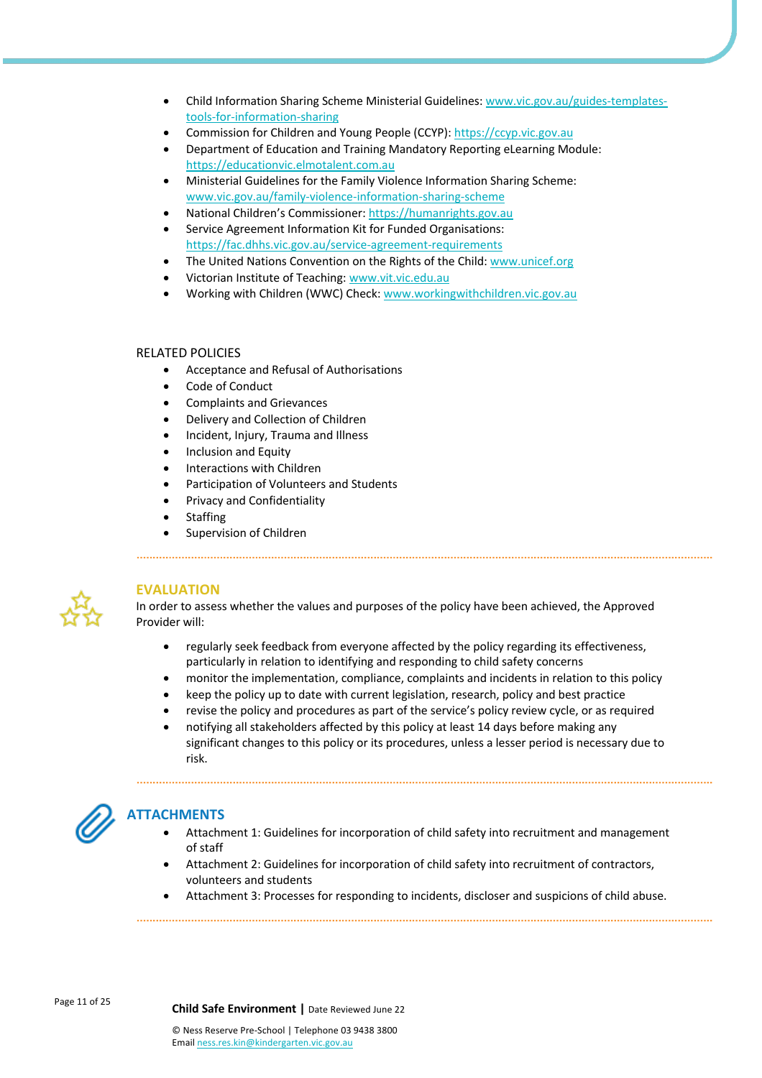- Child Information Sharing Scheme Ministerial Guidelines: www.vic.gov.au/guides-templatestools-for-information-sharing
- Commission for Children and Young People (CCYP): https://ccyp.vic.gov.au
- Department of Education and Training Mandatory Reporting eLearning Module: https://educationvic.elmotalent.com.au
- Ministerial Guidelines for the Family Violence Information Sharing Scheme: www.vic.gov.au/family-violence-information-sharing-scheme
- National Children's Commissioner: https://humanrights.gov.au
- Service Agreement Information Kit for Funded Organisations: https://fac.dhhs.vic.gov.au/service-agreement-requirements
- The United Nations Convention on the Rights of the Child: www.unicef.org
- Victorian Institute of Teaching: www.vit.vic.edu.au
- Working with Children (WWC) Check: www.workingwithchildren.vic.gov.au

#### RELATED POLICIES

- Acceptance and Refusal of Authorisations
- Code of Conduct
- Complaints and Grievances
- Delivery and Collection of Children
- Incident, Injury, Trauma and Illness
- Inclusion and Equity
- Interactions with Children
- Participation of Volunteers and Students
- Privacy and Confidentiality
- **Staffing**
- Supervision of Children



## **EVALUATION**

In order to assess whether the values and purposes of the policy have been achieved, the Approved Provider will:

- regularly seek feedback from everyone affected by the policy regarding its effectiveness, particularly in relation to identifying and responding to child safety concerns
- monitor the implementation, compliance, complaints and incidents in relation to this policy
- keep the policy up to date with current legislation, research, policy and best practice
- revise the policy and procedures as part of the service's policy review cycle, or as required
- notifying all stakeholders affected by this policy at least 14 days before making any significant changes to this policy or its procedures, unless a lesser period is necessary due to risk.



# **ATTACHMENTS**

- Attachment 1: Guidelines for incorporation of child safety into recruitment and management of staff
- Attachment 2: Guidelines for incorporation of child safety into recruitment of contractors, volunteers and students
- Attachment 3: Processes for responding to incidents, discloser and suspicions of child abuse.

Page 11 of 25 **Child Safe Environment <sup>|</sup>**Date Reviewed June 22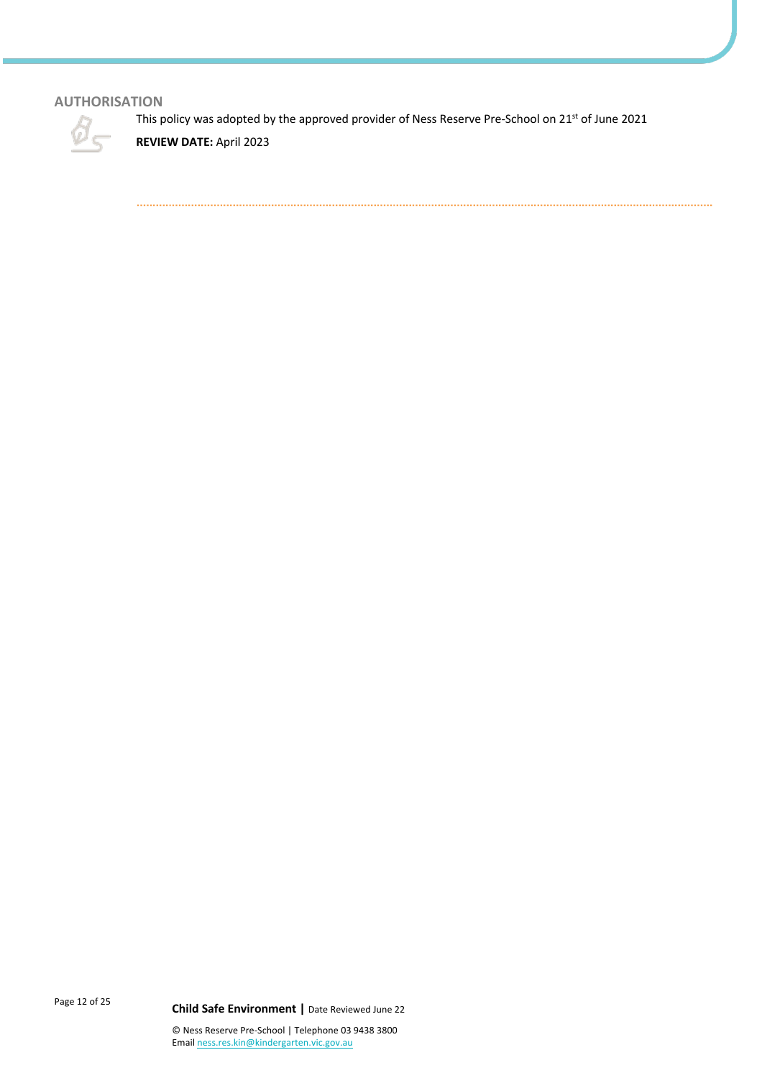# **AUTHORISATION**

This policy was adopted by the approved provider of Ness Reserve Pre-School on 21st of June 2021



**REVIEW DATE:** April 2023

Page 12 of 25 **Child Safe Environment <sup>|</sup>**Date Reviewed June 22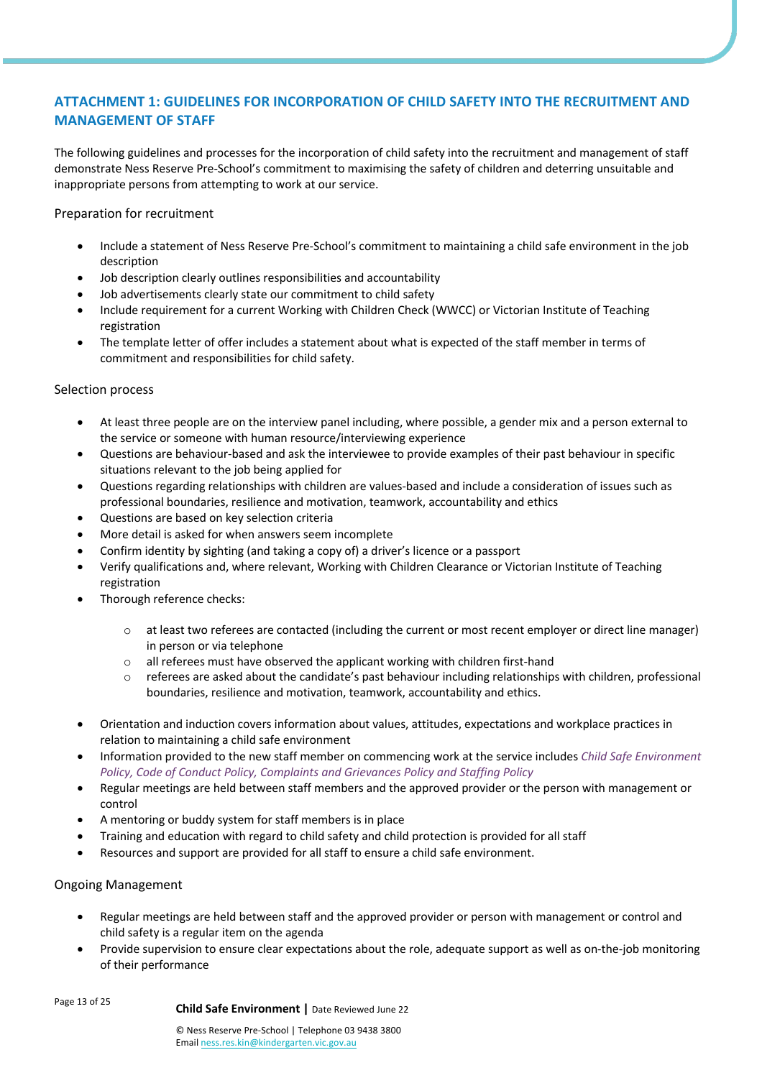# **ATTACHMENT 1: GUIDELINES FOR INCORPORATION OF CHILD SAFETY INTO THE RECRUITMENT AND MANAGEMENT OF STAFF**

The following guidelines and processes for the incorporation of child safety into the recruitment and management of staff demonstrate Ness Reserve Pre-School's commitment to maximising the safety of children and deterring unsuitable and inappropriate persons from attempting to work at our service.

Preparation for recruitment

- Include a statement of Ness Reserve Pre-School's commitment to maintaining a child safe environment in the job description
- Job description clearly outlines responsibilities and accountability
- Job advertisements clearly state our commitment to child safety
- Include requirement for a current Working with Children Check (WWCC) or Victorian Institute of Teaching registration
- The template letter of offer includes a statement about what is expected of the staff member in terms of commitment and responsibilities for child safety.

# Selection process

- At least three people are on the interview panel including, where possible, a gender mix and a person external to the service or someone with human resource/interviewing experience
- Questions are behaviour-based and ask the interviewee to provide examples of their past behaviour in specific situations relevant to the job being applied for
- Questions regarding relationships with children are values-based and include a consideration of issues such as professional boundaries, resilience and motivation, teamwork, accountability and ethics
- Questions are based on key selection criteria
- More detail is asked for when answers seem incomplete
- Confirm identity by sighting (and taking a copy of) a driver's licence or a passport
- Verify qualifications and, where relevant, Working with Children Clearance or Victorian Institute of Teaching registration
- Thorough reference checks:
	- o at least two referees are contacted (including the current or most recent employer or direct line manager) in person or via telephone
	- o all referees must have observed the applicant working with children first-hand
	- o referees are asked about the candidate's past behaviour including relationships with children, professional boundaries, resilience and motivation, teamwork, accountability and ethics.
- Orientation and induction covers information about values, attitudes, expectations and workplace practices in relation to maintaining a child safe environment
- Information provided to the new staff member on commencing work at the service includes *Child Safe Environment Policy, Code of Conduct Policy, Complaints and Grievances Policy and Staffing Policy*
- Regular meetings are held between staff members and the approved provider or the person with management or control
- A mentoring or buddy system for staff members is in place
- Training and education with regard to child safety and child protection is provided for all staff
- Resources and support are provided for all staff to ensure a child safe environment.

## Ongoing Management

- Regular meetings are held between staff and the approved provider or person with management or control and child safety is a regular item on the agenda
- Provide supervision to ensure clear expectations about the role, adequate support as well as on-the-job monitoring of their performance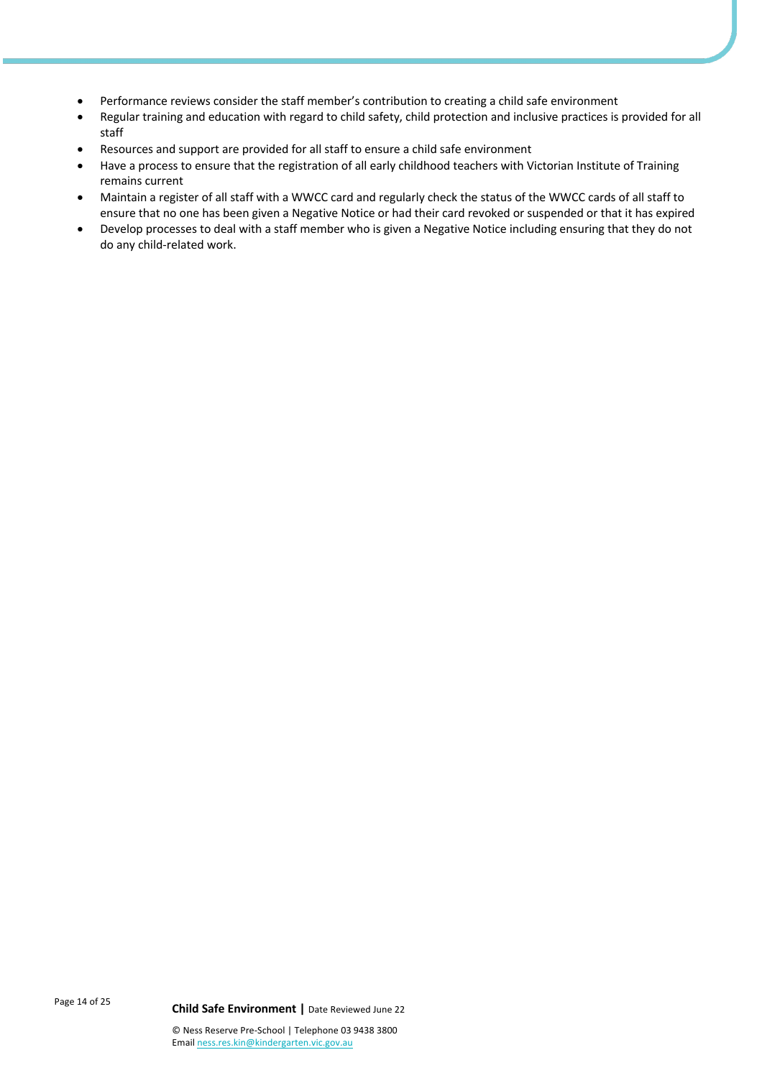- Performance reviews consider the staff member's contribution to creating a child safe environment
- Regular training and education with regard to child safety, child protection and inclusive practices is provided for all staff
- Resources and support are provided for all staff to ensure a child safe environment
- Have a process to ensure that the registration of all early childhood teachers with Victorian Institute of Training remains current
- Maintain a register of all staff with a WWCC card and regularly check the status of the WWCC cards of all staff to ensure that no one has been given a Negative Notice or had their card revoked or suspended or that it has expired
- Develop processes to deal with a staff member who is given a Negative Notice including ensuring that they do not do any child-related work.

Page 14 of 25 **Child Safe Environment <sup>|</sup>**Date Reviewed June 22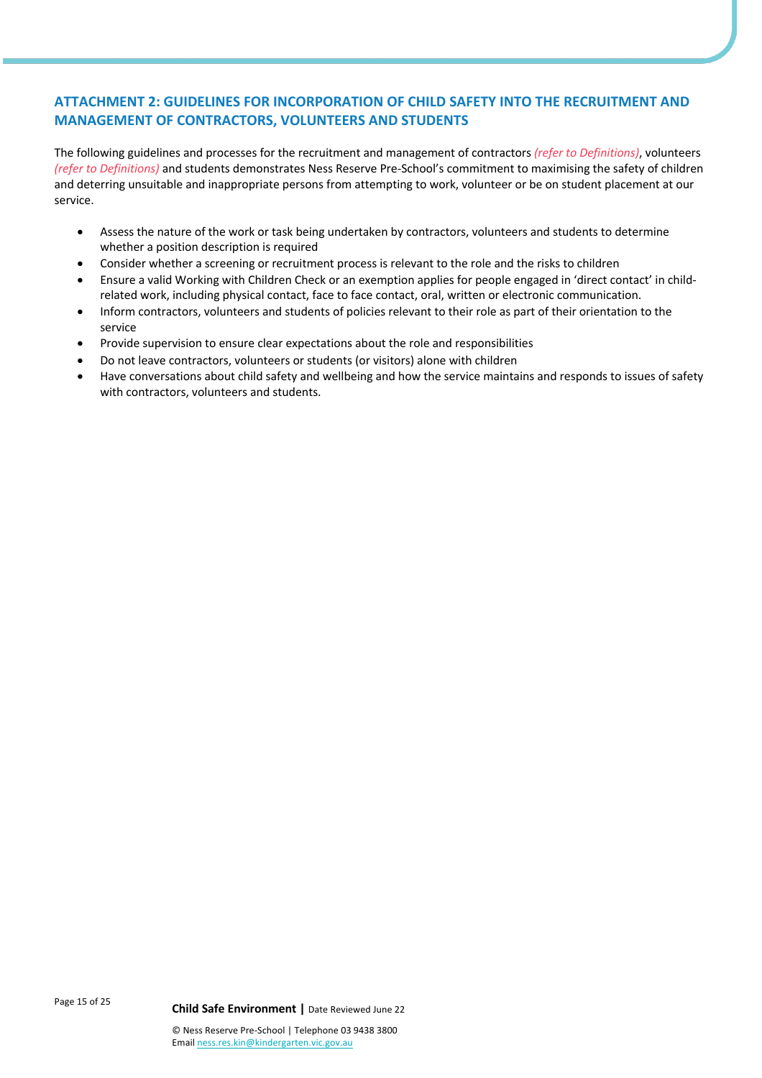# **ATTACHMENT 2: GUIDELINES FOR INCORPORATION OF CHILD SAFETY INTO THE RECRUITMENT AND MANAGEMENT OF CONTRACTORS, VOLUNTEERS AND STUDENTS**

The following guidelines and processes for the recruitment and management of contractors *(refer to Definitions)*, volunteers *(refer to Definitions)* and students demonstrates Ness Reserve Pre-School's commitment to maximising the safety of children and deterring unsuitable and inappropriate persons from attempting to work, volunteer or be on student placement at our service.

- Assess the nature of the work or task being undertaken by contractors, volunteers and students to determine whether a position description is required
- Consider whether a screening or recruitment process is relevant to the role and the risks to children
- Ensure a valid Working with Children Check or an exemption applies for people engaged in 'direct contact' in childrelated work, including physical contact, face to face contact, oral, written or electronic communication.
- Inform contractors, volunteers and students of policies relevant to their role as part of their orientation to the service
- Provide supervision to ensure clear expectations about the role and responsibilities
- Do not leave contractors, volunteers or students (or visitors) alone with children
- Have conversations about child safety and wellbeing and how the service maintains and responds to issues of safety with contractors, volunteers and students.

Page 15 of 25 **Child Safe Environment <sup>|</sup>**Date Reviewed June 22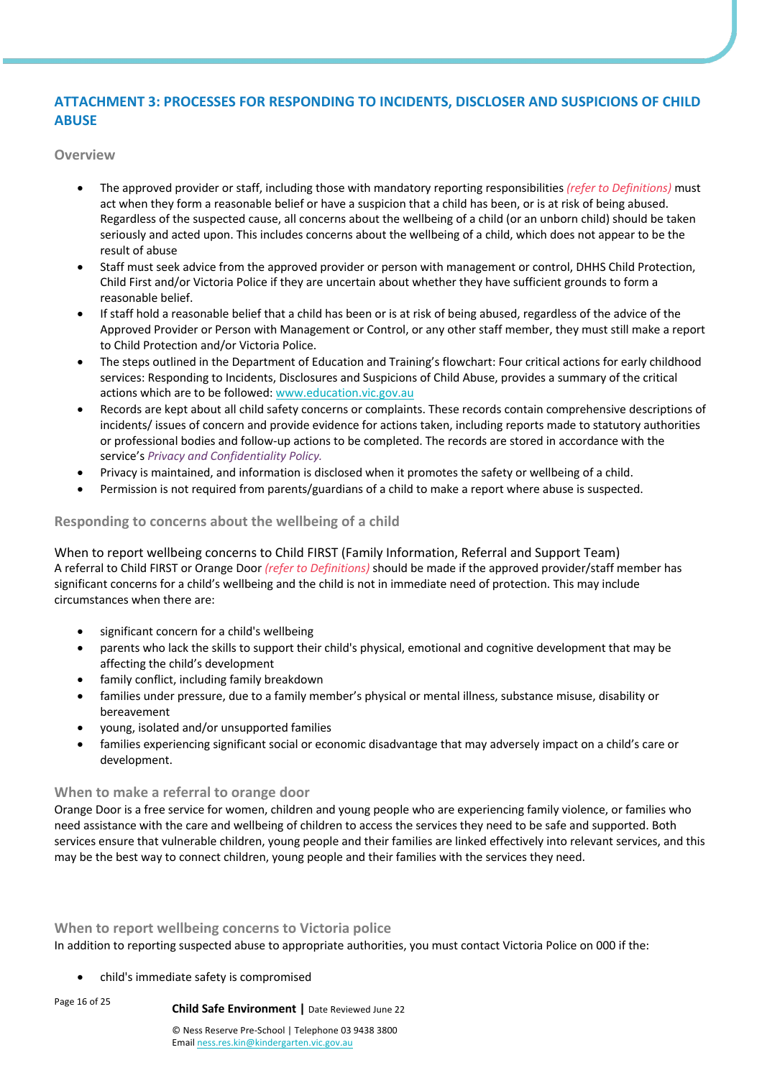# **ATTACHMENT 3: PROCESSES FOR RESPONDING TO INCIDENTS, DISCLOSER AND SUSPICIONS OF CHILD ABUSE**

**Overview**

- The approved provider or staff, including those with mandatory reporting responsibilities *(refer to Definitions)* must act when they form a reasonable belief or have a suspicion that a child has been, or is at risk of being abused. Regardless of the suspected cause, all concerns about the wellbeing of a child (or an unborn child) should be taken seriously and acted upon. This includes concerns about the wellbeing of a child, which does not appear to be the result of abuse
- Staff must seek advice from the approved provider or person with management or control, DHHS Child Protection, Child First and/or Victoria Police if they are uncertain about whether they have sufficient grounds to form a reasonable belief.
- If staff hold a reasonable belief that a child has been or is at risk of being abused, regardless of the advice of the Approved Provider or Person with Management or Control, or any other staff member, they must still make a report to Child Protection and/or Victoria Police.
- The steps outlined in the Department of Education and Training's flowchart: Four critical actions for early childhood services: Responding to Incidents, Disclosures and Suspicions of Child Abuse, provides a summary of the critical actions which are to be followed: www.education.vic.gov.au
- Records are kept about all child safety concerns or complaints. These records contain comprehensive descriptions of incidents/ issues of concern and provide evidence for actions taken, including reports made to statutory authorities or professional bodies and follow-up actions to be completed. The records are stored in accordance with the service's *Privacy and Confidentiality Policy.*
- Privacy is maintained, and information is disclosed when it promotes the safety or wellbeing of a child.
- Permission is not required from parents/guardians of a child to make a report where abuse is suspected.

# **Responding to concerns about the wellbeing of a child**

When to report wellbeing concerns to Child FIRST (Family Information, Referral and Support Team) A referral to Child FIRST or Orange Door *(refer to Definitions)* should be made if the approved provider/staff member has significant concerns for a child's wellbeing and the child is not in immediate need of protection. This may include circumstances when there are:

- significant concern for a child's wellbeing
- parents who lack the skills to support their child's physical, emotional and cognitive development that may be affecting the child's development
- family conflict, including family breakdown
- families under pressure, due to a family member's physical or mental illness, substance misuse, disability or bereavement
- young, isolated and/or unsupported families
- families experiencing significant social or economic disadvantage that may adversely impact on a child's care or development.

## **When to make a referral to orange door**

Orange Door is a free service for women, children and young people who are experiencing family violence, or families who need assistance with the care and wellbeing of children to access the services they need to be safe and supported. Both services ensure that vulnerable children, young people and their families are linked effectively into relevant services, and this may be the best way to connect children, young people and their families with the services they need.

**When to report wellbeing concerns to Victoria police**

In addition to reporting suspected abuse to appropriate authorities, you must contact Victoria Police on 000 if the:

• child's immediate safety is compromised

Page 16 of 25 **Child Safe Environment <sup>|</sup>**Date Reviewed June 22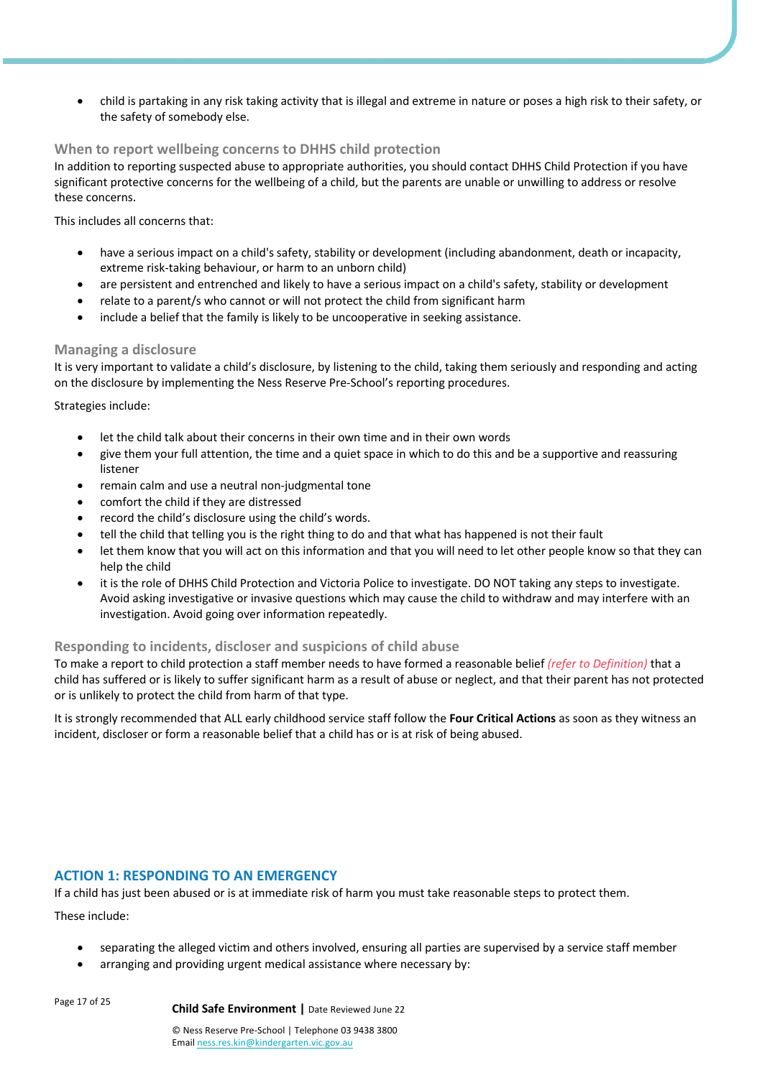• child is partaking in any risk taking activity that is illegal and extreme in nature or poses a high risk to their safety, or the safety of somebody else.

# **When to report wellbeing concerns to DHHS child protection**

In addition to reporting suspected abuse to appropriate authorities, you should contact DHHS Child Protection if you have significant protective concerns for the wellbeing of a child, but the parents are unable or unwilling to address or resolve these concerns.

This includes all concerns that:

- have a serious impact on a child's safety, stability or development (including abandonment, death or incapacity, extreme risk-taking behaviour, or harm to an unborn child)
- are persistent and entrenched and likely to have a serious impact on a child's safety, stability or development
- relate to a parent/s who cannot or will not protect the child from significant harm
- include a belief that the family is likely to be uncooperative in seeking assistance.

## **Managing a disclosure**

It is very important to validate a child's disclosure, by listening to the child, taking them seriously and responding and acting on the disclosure by implementing the Ness Reserve Pre-School's reporting procedures.

Strategies include:

- let the child talk about their concerns in their own time and in their own words
- give them your full attention, the time and a quiet space in which to do this and be a supportive and reassuring listener
- remain calm and use a neutral non-judgmental tone
- comfort the child if they are distressed
- record the child's disclosure using the child's words.
- tell the child that telling you is the right thing to do and that what has happened is not their fault
- let them know that you will act on this information and that you will need to let other people know so that they can help the child
- it is the role of DHHS Child Protection and Victoria Police to investigate. DO NOT taking any steps to investigate. Avoid asking investigative or invasive questions which may cause the child to withdraw and may interfere with an investigation. Avoid going over information repeatedly.

## **Responding to incidents, discloser and suspicions of child abuse**

To make a report to child protection a staff member needs to have formed a reasonable belief *(refer to Definition)* that a child has suffered or is likely to suffer significant harm as a result of abuse or neglect, and that their parent has not protected or is unlikely to protect the child from harm of that type.

It is strongly recommended that ALL early childhood service staff follow the **Four Critical Actions** as soon as they witness an incident, discloser or form a reasonable belief that a child has or is at risk of being abused.

# **ACTION 1: RESPONDING TO AN EMERGENCY**

If a child has just been abused or is at immediate risk of harm you must take reasonable steps to protect them.

These include:

- separating the alleged victim and others involved, ensuring all parties are supervised by a service staff member
- arranging and providing urgent medical assistance where necessary by:

Page 17 of 25 **Child Safe Environment <sup>|</sup>**Date Reviewed June 22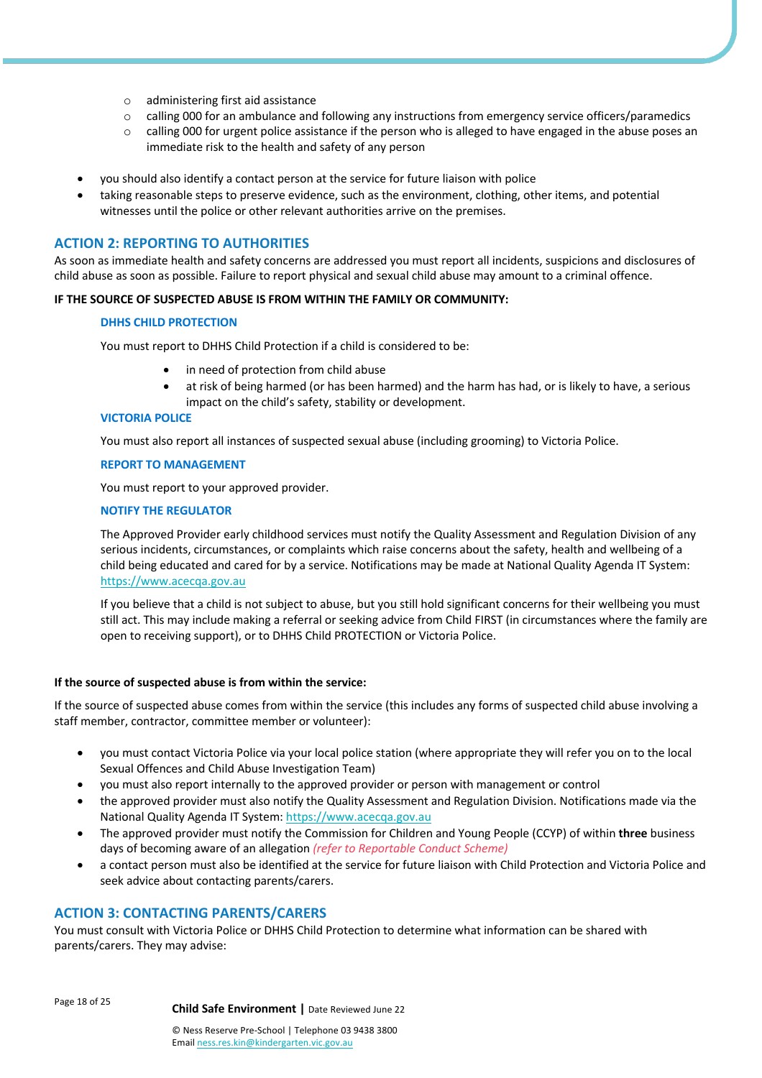- o administering first aid assistance
- o calling 000 for an ambulance and following any instructions from emergency service officers/paramedics
- o calling 000 for urgent police assistance if the person who is alleged to have engaged in the abuse poses an immediate risk to the health and safety of any person
- you should also identify a contact person at the service for future liaison with police
- taking reasonable steps to preserve evidence, such as the environment, clothing, other items, and potential witnesses until the police or other relevant authorities arrive on the premises.

# **ACTION 2: REPORTING TO AUTHORITIES**

As soon as immediate health and safety concerns are addressed you must report all incidents, suspicions and disclosures of child abuse as soon as possible. Failure to report physical and sexual child abuse may amount to a criminal offence.

#### **IF THE SOURCE OF SUSPECTED ABUSE IS FROM WITHIN THE FAMILY OR COMMUNITY:**

#### **DHHS CHILD PROTECTION**

You must report to DHHS Child Protection if a child is considered to be:

- in need of protection from child abuse
- at risk of being harmed (or has been harmed) and the harm has had, or is likely to have, a serious impact on the child's safety, stability or development.

#### **VICTORIA POLICE**

You must also report all instances of suspected sexual abuse (including grooming) to Victoria Police.

#### **REPORT TO MANAGEMENT**

You must report to your approved provider.

#### **NOTIFY THE REGULATOR**

The Approved Provider early childhood services must notify the Quality Assessment and Regulation Division of any serious incidents, circumstances, or complaints which raise concerns about the safety, health and wellbeing of a child being educated and cared for by a service. Notifications may be made at National Quality Agenda IT System: https://www.acecqa.gov.au

If you believe that a child is not subject to abuse, but you still hold significant concerns for their wellbeing you must still act. This may include making a referral or seeking advice from Child FIRST (in circumstances where the family are open to receiving support), or to DHHS Child PROTECTION or Victoria Police.

#### **If the source of suspected abuse is from within the service:**

If the source of suspected abuse comes from within the service (this includes any forms of suspected child abuse involving a staff member, contractor, committee member or volunteer):

- you must contact Victoria Police via your local police station (where appropriate they will refer you on to the local Sexual Offences and Child Abuse Investigation Team)
- you must also report internally to the approved provider or person with management or control
- the approved provider must also notify the Quality Assessment and Regulation Division. Notifications made via the National Quality Agenda IT System: https://www.acecqa.gov.au
- The approved provider must notify the Commission for Children and Young People (CCYP) of within **three** business days of becoming aware of an allegation *(refer to Reportable Conduct Scheme)*
- a contact person must also be identified at the service for future liaison with Child Protection and Victoria Police and seek advice about contacting parents/carers.

## **ACTION 3: CONTACTING PARENTS/CARERS**

You must consult with Victoria Police or DHHS Child Protection to determine what information can be shared with parents/carers. They may advise:

Page 18 of 25 **Child Safe Environment <sup>|</sup>**Date Reviewed June 22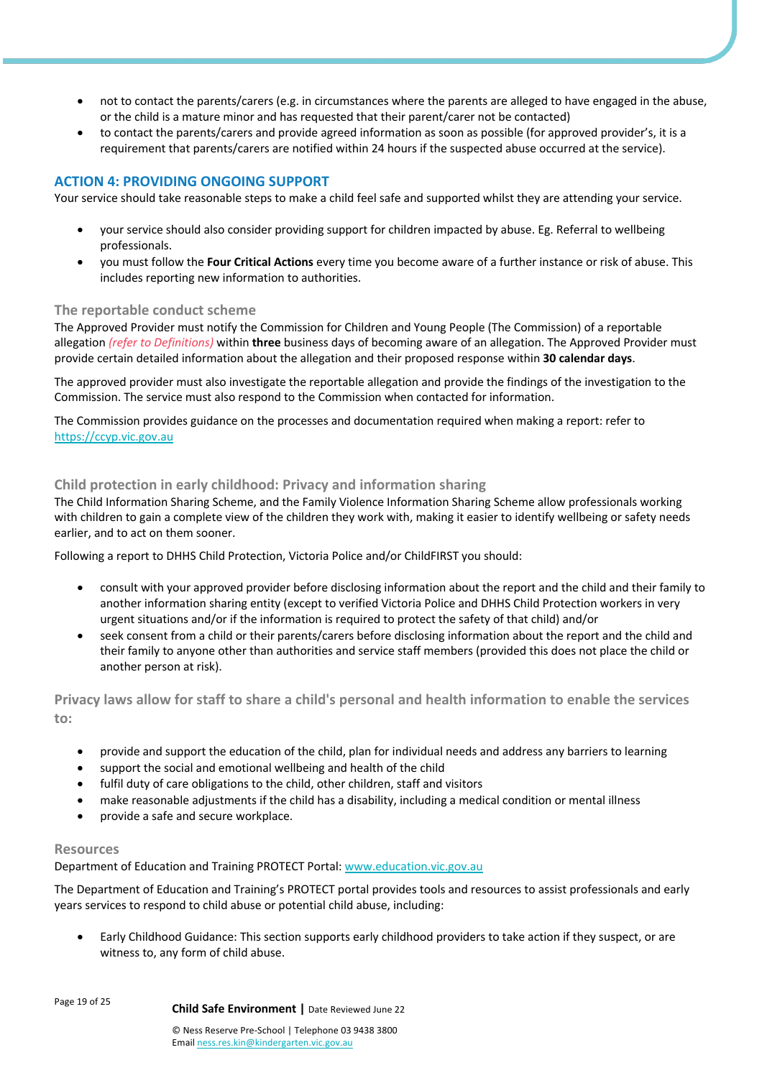- not to contact the parents/carers (e.g. in circumstances where the parents are alleged to have engaged in the abuse, or the child is a mature minor and has requested that their parent/carer not be contacted)
- to contact the parents/carers and provide agreed information as soon as possible (for approved provider's, it is a requirement that parents/carers are notified within 24 hours if the suspected abuse occurred at the service).

# **ACTION 4: PROVIDING ONGOING SUPPORT**

Your service should take reasonable steps to make a child feel safe and supported whilst they are attending your service.

- your service should also consider providing support for children impacted by abuse. Eg. Referral to wellbeing professionals.
- you must follow the **Four Critical Actions** every time you become aware of a further instance or risk of abuse. This includes reporting new information to authorities.

# **The reportable conduct scheme**

The Approved Provider must notify the Commission for Children and Young People (The Commission) of a reportable allegation *(refer to Definitions)* within **three** business days of becoming aware of an allegation. The Approved Provider must provide certain detailed information about the allegation and their proposed response within **30 calendar days**.

The approved provider must also investigate the reportable allegation and provide the findings of the investigation to the Commission. The service must also respond to the Commission when contacted for information.

The Commission provides guidance on the processes and documentation required when making a report: refer to https://ccyp.vic.gov.au

# **Child protection in early childhood: Privacy and information sharing**

The Child Information Sharing Scheme, and the Family Violence Information Sharing Scheme allow professionals working with children to gain a complete view of the children they work with, making it easier to identify wellbeing or safety needs earlier, and to act on them sooner.

Following a report to DHHS Child Protection, Victoria Police and/or ChildFIRST you should:

- consult with your approved provider before disclosing information about the report and the child and their family to another information sharing entity (except to verified Victoria Police and DHHS Child Protection workers in very urgent situations and/or if the information is required to protect the safety of that child) and/or
- seek consent from a child or their parents/carers before disclosing information about the report and the child and their family to anyone other than authorities and service staff members (provided this does not place the child or another person at risk).

**Privacy laws allow for staff to share a child's personal and health information to enable the services to:**

- provide and support the education of the child, plan for individual needs and address any barriers to learning
- support the social and emotional wellbeing and health of the child
- fulfil duty of care obligations to the child, other children, staff and visitors
- make reasonable adjustments if the child has a disability, including a medical condition or mental illness
- provide a safe and secure workplace.

# **Resources**

Department of Education and Training PROTECT Portal: www.education.vic.gov.au

The Department of Education and Training's PROTECT portal provides tools and resources to assist professionals and early years services to respond to child abuse or potential child abuse, including:

• Early Childhood Guidance: This section supports early childhood providers to take action if they suspect, or are witness to, any form of child abuse.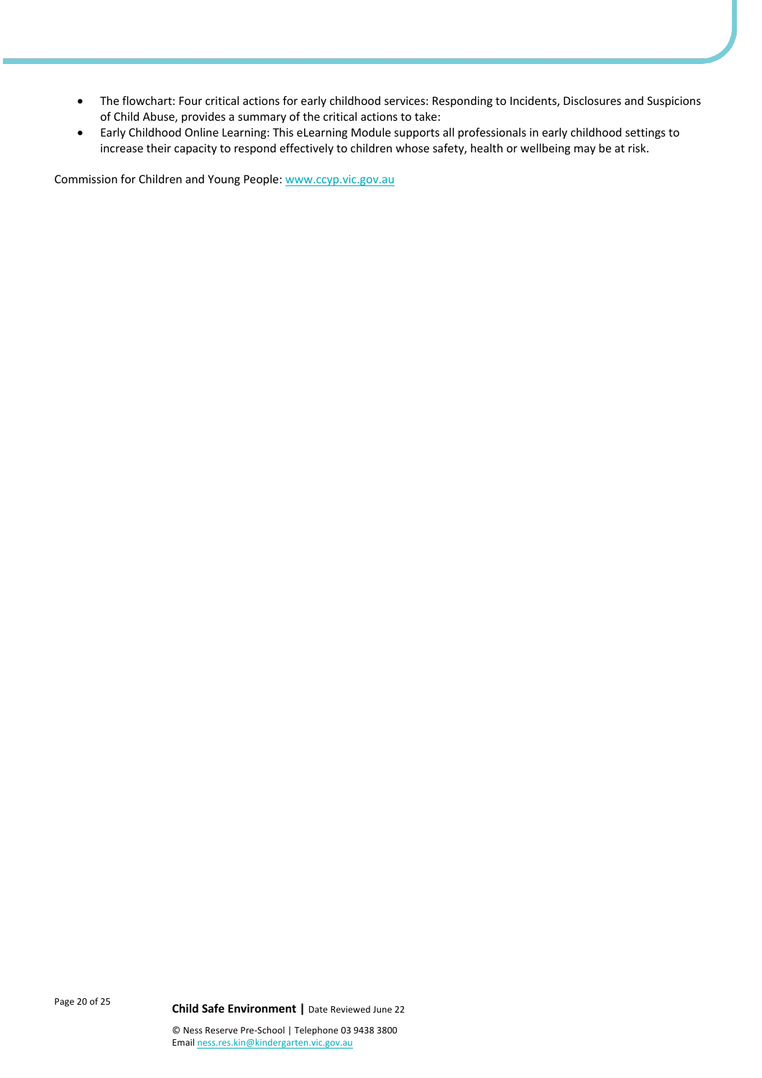- The flowchart: Four critical actions for early childhood services: Responding to Incidents, Disclosures and Suspicions of Child Abuse, provides a summary of the critical actions to take:
- Early Childhood Online Learning: This eLearning Module supports all professionals in early childhood settings to increase their capacity to respond effectively to children whose safety, health or wellbeing may be at risk.

Commission for Children and Young People: www.ccyp.vic.gov.au

Page 20 of 25 **Child Safe Environment <sup>|</sup>**Date Reviewed June 22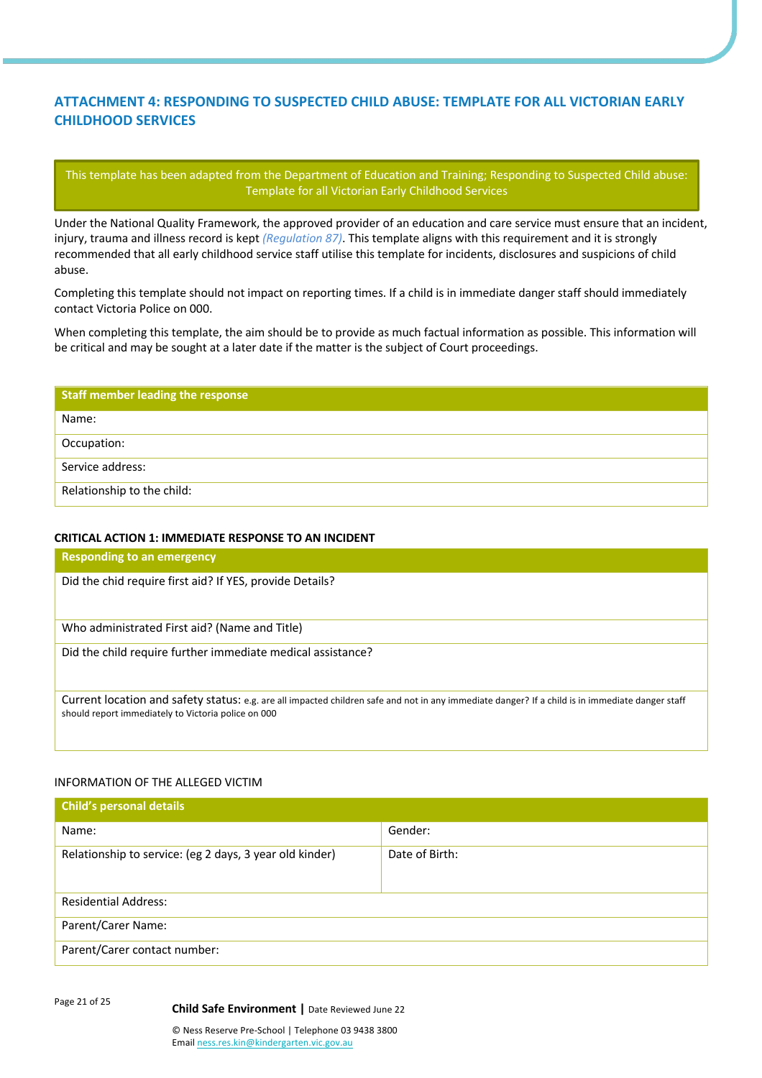# **ATTACHMENT 4: RESPONDING TO SUSPECTED CHILD ABUSE: TEMPLATE FOR ALL VICTORIAN EARLY CHILDHOOD SERVICES**

This template has been adapted from the Department of Education and Training; Responding to Suspected Child abuse: Template for all Victorian Early Childhood Services

Under the National Quality Framework, the approved provider of an education and care service must ensure that an incident, injury, trauma and illness record is kept *(Regulation 87)*. This template aligns with this requirement and it is strongly recommended that all early childhood service staff utilise this template for incidents, disclosures and suspicions of child abuse.

Completing this template should not impact on reporting times. If a child is in immediate danger staff should immediately contact Victoria Police on 000.

When completing this template, the aim should be to provide as much factual information as possible. This information will be critical and may be sought at a later date if the matter is the subject of Court proceedings.

| <b>Staff member leading the response</b> |
|------------------------------------------|
| Name:                                    |
| Occupation:                              |
| Service address:                         |
| Relationship to the child:               |

## **CRITICAL ACTION 1: IMMEDIATE RESPONSE TO AN INCIDENT**

| <b>Responding to an emergency</b>                                                                                                                                                                       |
|---------------------------------------------------------------------------------------------------------------------------------------------------------------------------------------------------------|
| Did the chid require first aid? If YES, provide Details?                                                                                                                                                |
| Who administrated First aid? (Name and Title)                                                                                                                                                           |
| Did the child require further immediate medical assistance?                                                                                                                                             |
| Current location and safety status: e.g. are all impacted children safe and not in any immediate danger? If a child is in immediate danger staff<br>should report immediately to Victoria police on 000 |

# INFORMATION OF THE ALLEGED VICTIM

| <b>Child's personal details</b>                         |                |
|---------------------------------------------------------|----------------|
| Name:                                                   | Gender:        |
| Relationship to service: (eg 2 days, 3 year old kinder) | Date of Birth: |
| <b>Residential Address:</b>                             |                |
| Parent/Carer Name:                                      |                |
| Parent/Carer contact number:                            |                |

Page 21 of 25 **Child Safe Environment <sup>|</sup>**Date Reviewed June 22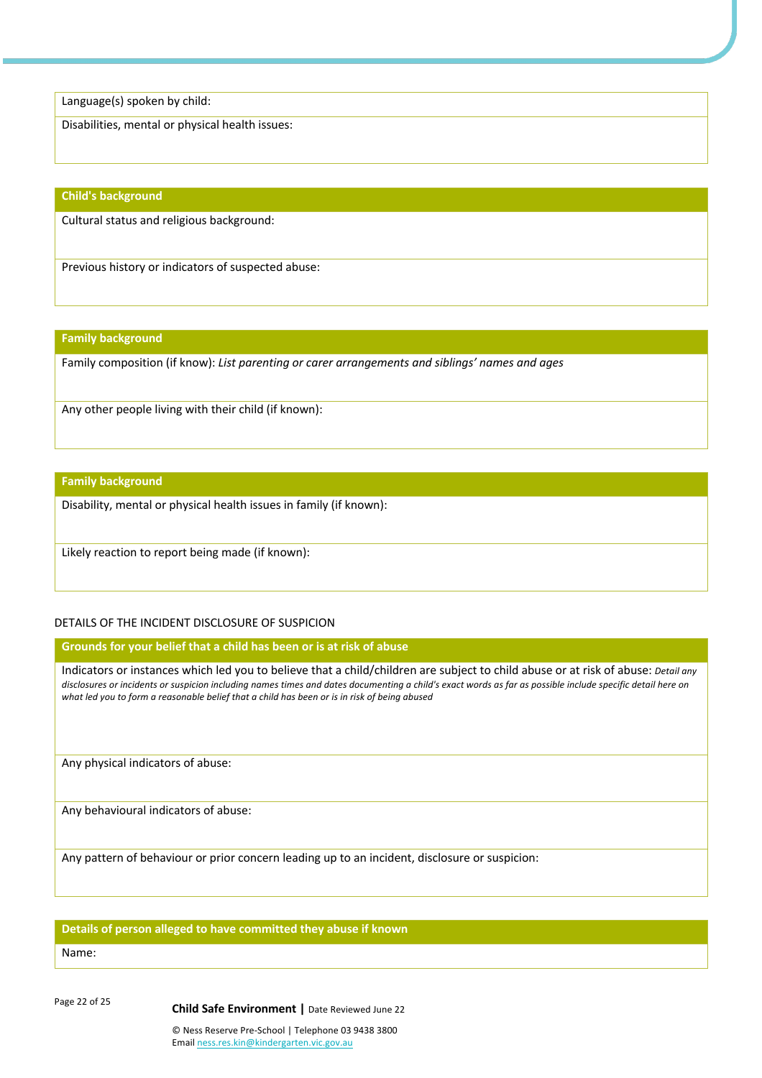Language(s) spoken by child:

Disabilities, mental or physical health issues:

#### **Child's background**

Cultural status and religious background:

Previous history or indicators of suspected abuse:

#### **Family background**

Family composition (if know): *List parenting or carer arrangements and siblings' names and ages*

Any other people living with their child (if known):

#### **Family background**

Disability, mental or physical health issues in family (if known):

Likely reaction to report being made (if known):

# DETAILS OF THE INCIDENT DISCLOSURE OF SUSPICION

**Grounds for your belief that a child has been or is at risk of abuse** 

Indicators or instances which led you to believe that a child/children are subject to child abuse or at risk of abuse: *Detail any disclosures or incidents or suspicion including names times and dates documenting a child's exact words as far as possible include specific detail here on what led you to form a reasonable belief that a child has been or is in risk of being abused*

Any physical indicators of abuse:

Any behavioural indicators of abuse:

Any pattern of behaviour or prior concern leading up to an incident, disclosure or suspicion:

#### **Details of person alleged to have committed they abuse if known**

#### Name:

Page 22 of 25 **Child Safe Environment <sup>|</sup>**Date Reviewed June 22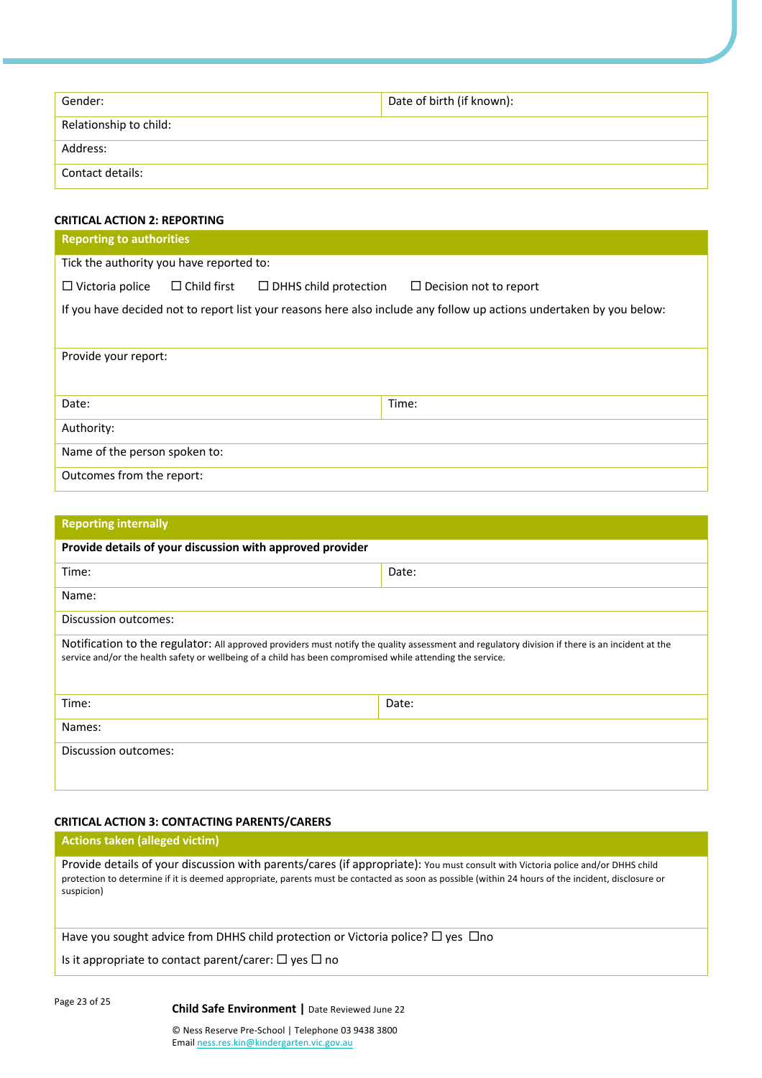| Gender:                | Date of birth (if known): |
|------------------------|---------------------------|
| Relationship to child: |                           |
| Address:               |                           |
| Contact details:       |                           |

# **CRITICAL ACTION 2: REPORTING**

| <b>Reporting to authorities</b>          |                    |                              |                                                                                                                      |  |  |
|------------------------------------------|--------------------|------------------------------|----------------------------------------------------------------------------------------------------------------------|--|--|
| Tick the authority you have reported to: |                    |                              |                                                                                                                      |  |  |
| $\Box$ Victoria police                   | $\Box$ Child first | $\Box$ DHHS child protection | $\Box$ Decision not to report                                                                                        |  |  |
|                                          |                    |                              | If you have decided not to report list your reasons here also include any follow up actions undertaken by you below: |  |  |
| Provide your report:                     |                    |                              |                                                                                                                      |  |  |
| Date:                                    |                    |                              | Time:                                                                                                                |  |  |
| Authority:                               |                    |                              |                                                                                                                      |  |  |
| Name of the person spoken to:            |                    |                              |                                                                                                                      |  |  |
| Outcomes from the report:                |                    |                              |                                                                                                                      |  |  |

| <b>Reporting internally</b>                                                                                                                                                                                                                                   |       |  |  |  |  |
|---------------------------------------------------------------------------------------------------------------------------------------------------------------------------------------------------------------------------------------------------------------|-------|--|--|--|--|
| Provide details of your discussion with approved provider                                                                                                                                                                                                     |       |  |  |  |  |
| Time:                                                                                                                                                                                                                                                         | Date: |  |  |  |  |
| Name:                                                                                                                                                                                                                                                         |       |  |  |  |  |
| Discussion outcomes:                                                                                                                                                                                                                                          |       |  |  |  |  |
| Notification to the regulator: All approved providers must notify the quality assessment and regulatory division if there is an incident at the<br>service and/or the health safety or wellbeing of a child has been compromised while attending the service. |       |  |  |  |  |
| Time:                                                                                                                                                                                                                                                         | Date: |  |  |  |  |
| Names:                                                                                                                                                                                                                                                        |       |  |  |  |  |
| Discussion outcomes:                                                                                                                                                                                                                                          |       |  |  |  |  |

# **CRITICAL ACTION 3: CONTACTING PARENTS/CARERS**

# **Actions taken (alleged victim)**

Provide details of your discussion with parents/cares (if appropriate): You must consult with Victoria police and/or DHHS child protection to determine if it is deemed appropriate, parents must be contacted as soon as possible (within 24 hours of the incident, disclosure or suspicion)

Have you sought advice from DHHS child protection or Victoria police?  $\Box$  yes  $\Box$ no

Is it appropriate to contact parent/carer:  $\Box$  yes  $\Box$  no

Page 23 of 25 **Child Safe Environment <sup>|</sup>**Date Reviewed June 22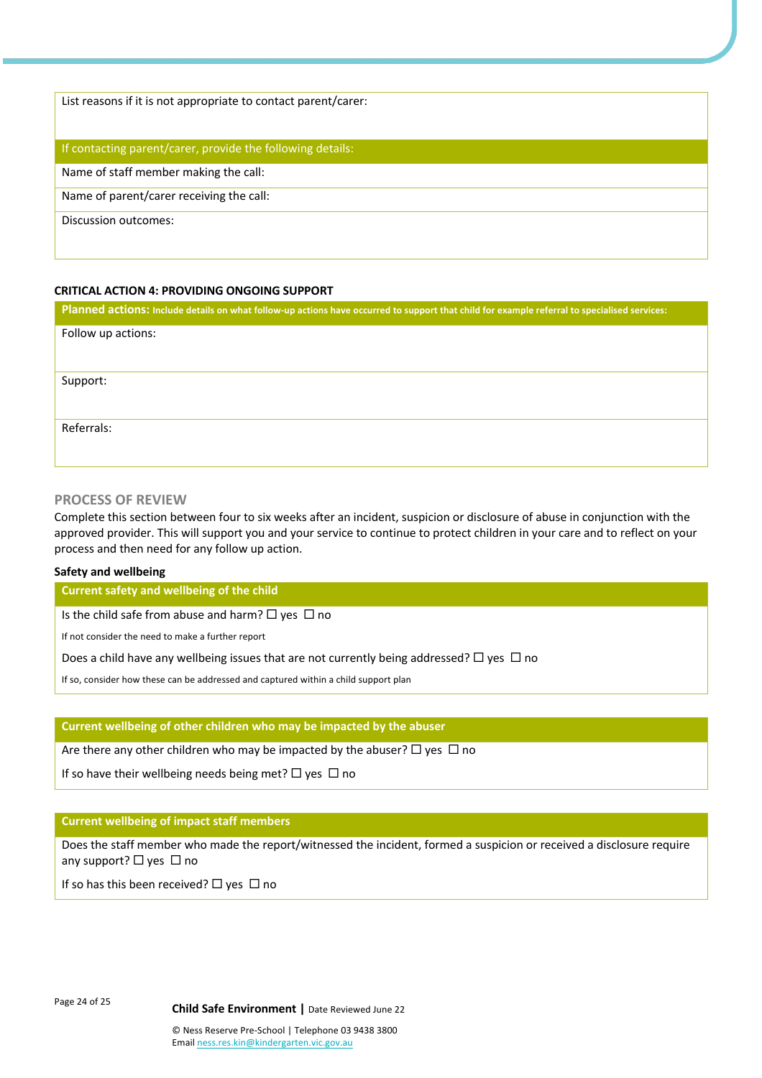List reasons if it is not appropriate to contact parent/carer:

## If contacting parent/carer, provide the following details:

Name of staff member making the call:

Name of parent/carer receiving the call:

Discussion outcomes:

## **CRITICAL ACTION 4: PROVIDING ONGOING SUPPORT**

**Planned actions: Include details on what follow-up actions have occurred to support that child for example referral to specialised services:** Follow up actions: Support: Referrals:

## **PROCESS OF REVIEW**

Complete this section between four to six weeks after an incident, suspicion or disclosure of abuse in conjunction with the approved provider. This will support you and your service to continue to protect children in your care and to reflect on your process and then need for any follow up action.

#### **Safety and wellbeing**

**Current safety and wellbeing of the child** 

Is the child safe from abuse and harm?  $\Box$  yes  $\Box$  no

If not consider the need to make a further report

Does a child have any wellbeing issues that are not currently being addressed?  $\Box$  yes  $\Box$  no

If so, consider how these can be addressed and captured within a child support plan

#### **Current wellbeing of other children who may be impacted by the abuser**

Are there any other children who may be impacted by the abuser?  $\Box$  yes  $\Box$  no

If so have their wellbeing needs being met?  $\Box$  yes  $\Box$  no

#### **Current wellbeing of impact staff members**

Does the staff member who made the report/witnessed the incident, formed a suspicion or received a disclosure require any support?  $\Box$  yes  $\Box$  no

If so has this been received?  $\Box$  yes  $\Box$  no

Page 24 of 25 **Child Safe Environment <sup>|</sup>**Date Reviewed June 22